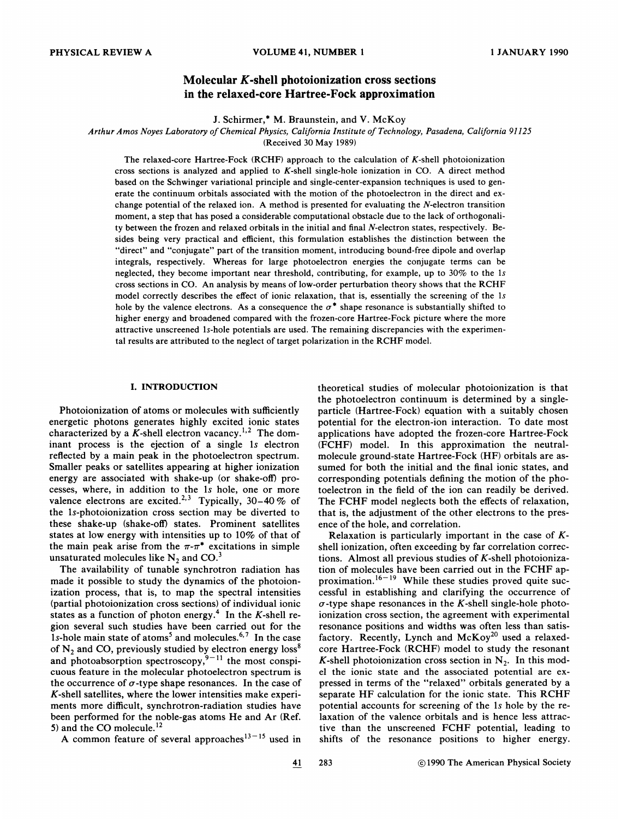# Molecular K-shell photoionization cross sections in the relaxed-core Hartree-Fock approximation

J. Schirmer,\* M. Braunstein, and V. McKoy

Arthur Amos Noyes Laboratory of Chemical Physics, California Institute of Technology, Pasadena, California 91125

(Received 30 May 1989)

The relaxed-core Hartree-Fock (RCHF) approach to the calculation of  $K$ -shell photoionization cross sections is analyzed and applied to  $K$ -shell single-hole ionization in CO. A direct method based on the Schwinger variational principle and single-center-expansion techniques is used to generate the continuum orbitals associated with the motion of the photoelectron in the direct and exchange potential of the relaxed ion. A method is presented for evaluating the N-electron transition moment, a step that has posed a considerable computational obstacle due to the lack of orthogonality between the frozen and relaxed orbitals in the initial and final  $N$ -electron states, respectively. Besides being very practical and efficient, this formulation establishes the distinction between the "direct" and "conjugate" part of the transition moment, introducing bound-free dipole and overlap integrals, respectively. Whereas for large photoelectron energies the conjugate terms can be neglected, they become important near threshold, contributing, for example, up to 30% to the 1s cross sections in CO. An analysis by means of low-order perturbation theory shows that the RCHF model correctly describes the effect of ionic relaxation, that is, essentially the screening of the 1s hole by the valence electrons. As a consequence the  $\sigma^*$  shape resonance is substantially shifted to higher energy and broadened compared with the frozen-core Hartree-Fock picture where the more attractive unscreened 1s-hole potentials are used. The remaining discrepancies with the experimental results are attributed to the neglect of target polarization in the RCHF model.

### I. INTRODUCTION

Photoionization of atoms or molecules with sufficiently energetic photons generates highly excited ionic states characterized by a K-shell electron vacancy.<sup>1,2</sup> The dom inant process is the ejection of a single 1s electron refiected by a main peak in the photoelectron spectrum. Smaller peaks or satellites appearing at higher ionization energy are associated with shake-up (or shake-off) processes, where, in addition to the 1s hole, one or more valence electrons are excited.<sup>2,3</sup> Typically, 30-40% of the 1s-photoionization cross section may be diverted to these shake-up (shake-off) states. Prominent satellites states at low energy with intensities up to 10% of that of the main peak arise from the  $\pi$ - $\pi$ <sup>\*</sup> excitations in simple unsaturated molecules like  $N_2$  and CO.<sup>3</sup>

The availability of tunable synchrotron radiation has made it possible to study the dynamics of the photoionization process, that is, to map the spectral intensities (partial photoionization cross sections) of individual ionic states as a function of photon energy.<sup>4</sup> In the K-shell region several such studies have been carried out for the 1s-hole main state of atoms<sup>5</sup> and molecules.<sup>6,7</sup> In the case of  $N_2$  and CO, previously studied by electron energy loss<sup>8</sup> of  $N_2$  and CO, previously studied by electron energy loss<br>and photoabsorption spectroscopy,<sup>9–11</sup> the most conspi cuous feature in the molecular photoelectron spectrum is the occurrence of  $\sigma$ -type shape resonances. In the case of  $K$ -shell satellites, where the lower intensities make experiments more difficult, synchrotron-radiation studies have been performed for the noble-gas atoms He and Ar (Ref. 5) and the CO molecule.<sup>12</sup>

theoretical studies of molecular photoionization is that the photoelectron continuum is determined by a singleparticle (Hartree-Fock) equation with a suitably chosen potential for the electron-ion interaction. To date most applications have adopted the frozen-core Hartree-Fock (FCHF) model. In this approximation the neutralmolecule ground-state Hartree-Fock (HF) orbitals are assumed for both the initial and the final ionic states, and corresponding potentials defining the motion of the photoelectron in the field of the ion can readily be derived. The FCHF model neglects both the effects of relaxation, that is, the adjustment of the other electrons to the presence of the hole, and correlation.

Relaxation is particularly important in the case of  $K$ shell ionization, often exceeding by far correlation corrections. Almost all previous studies of K-shell photoionization of molecules have been carried out in the FCHF approximation.<sup>16-19</sup> While these studies proved quite successful in establishing and clarifying the occurrence of  $\sigma$ -type shape resonances in the K-shell single-hole photoionization cross section, the agreement with experimental resonance positions and widths was often less than satisfactory. Recently, Lynch and  $McKey^{20}$  used a relaxedcore Hartree-Fock (RCHF) model to study the resonant K-shell photoionization cross section in  $N_2$ . In this model the ionic state and the associated potential are expressed in terms of the "relaxed" orbitals generated by a separate HF calculation for the ionic state. This RCHF potential accounts for screening of the 1s hole by the relaxation of the valence orbitals and is hence less attractive than the unscreened FCHF potential, leading to shifts of the resonance positions to higher energy.

A common feature of several approaches<sup>13-15</sup> used in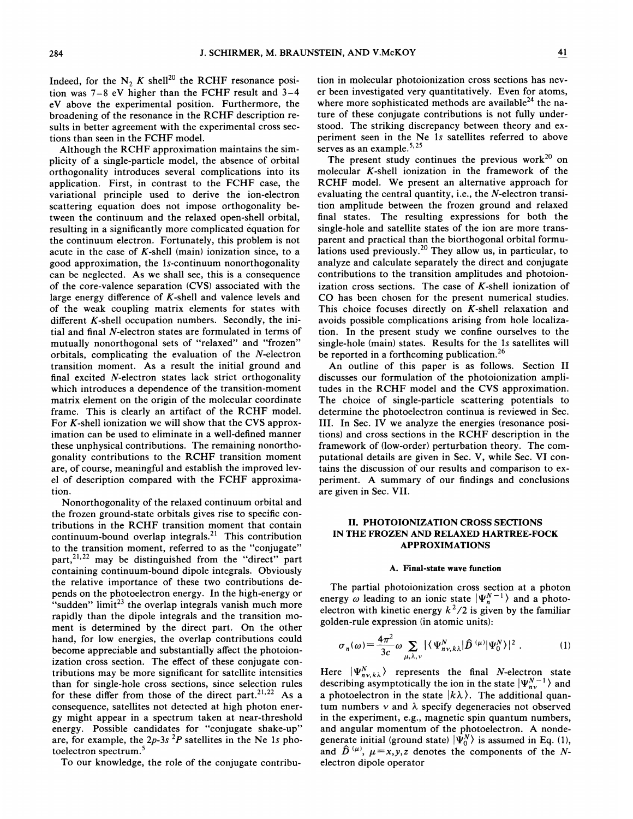Indeed, for the  $N_2 K$  shell<sup>20</sup> the RCHF resonance position was 7—<sup>8</sup> eV higher than the FCHF result and <sup>3</sup>—4 eV above the experimental position. Furthermore, the broadening of the resonance in the RCHF description results in better agreement with the experimental cross sections than seen in the FCHF model.

Although the RCHF approximation maintains the simplicity of a single-particle model, the absence of orbital orthogonality introduces several complications into its application. First, in contrast to the FCHF case, the variational principle used to derive the ion-electron scattering equation does not impose orthogonality between the continuum and the relaxed open-shell orbital, resulting in a significantly more complicated equation for the continuum electron. Fortunately, this problem is not acute in the case of  $K$ -shell (main) ionization since, to a good approximation, the 1s-continuum nonorthogonality can be neglected. As we shall see, this is a consequence of the core-valence separation (CVS) associated with the large energy difference of  $K$ -shell and valence levels and of the weak coupling matrix elements for states with different  $K$ -shell occupation numbers. Secondly, the initial and final N-electron states are formulated in terms of mutually nonorthogonal sets of "relaxed" and "frozen" orbitals, complicating the evaluation of the  $N$ -electron transition moment. As a result the initial ground and final excited N-electron states lack strict orthogonality which introduces a dependence of the transition-moment matrix element on the origin of the molecular coordinate frame. This is clearly an artifact of the RCHF model. For  $K$ -shell ionization we will show that the CVS approximation can be used to eliminate in a well-defined manner these unphysical contributions. The remaining nonorthogonality contributions to the RCHF transition moment are, of course, meaningful and establish the improved level of description compared with the FCHF approximation.

Nonorthogonality of the relaxed continuum orbital and the frozen ground-state orbitals gives rise to specific contributions in the RCHF transition moment that contain continuum-bound overlap integrals.<sup>21</sup> This contribution to the transition moment, referred to as the "conjugate" part,<sup>21,22</sup> may be distinguished from the "direct" par containing continuum-bound dipole integrals. Obviously the relative importance of these two contributions depends on the photoelectron energy. In the high-energy or "sudden" limit<sup>23</sup> the overlap integrals vanish much more rapidly than the dipole integrals and the transition moment is determined by the direct part. On the other hand, for low energies, the overlap contributions could become appreciable and substantially affect the photoionization cross section. The effect of these conjugate contributions may be more significant for satellite intensities than for single-hole cross sections, since selection rules for these differ from those of the direct part.<sup>21,22</sup> As a consequence, satellites not detected at high photon energy might appear in a spectrum taken at near-threshold energy. Possible candidates for "conjugate shake-up" are, for example, the  $2p-3s$  <sup>2</sup>P satellites in the Ne 1s photoelectron spectrum.

To our knowledge, the role of the conjugate contribu-

tion in molecular photoionization cross sections has never been investigated very quantitatively. Even for atoms, where more sophisticated methods are available<sup>24</sup> the nature of these conjugate contributions is not fully understood. The striking discrepancy between theory and experiment seen in the Ne 1s satellites referred to above serves as an example.<sup>5,</sup>

The present study continues the previous work $^{20}$  on molecular K-shell ionization in the framework of the RCHF model. We present an alternative approach for evaluating the central quantity, i.e., the N-electron transition amplitude between the frozen ground and relaxed final states. The resulting expressions for both the single-hole and satellite states of the ion are more transparent and practical than the biorthogonal orbital formulations used previously.<sup>20</sup> They allow us, in particular, to analyze and calculate separately the direct and conjugate contributions to the transition amplitudes and photoionization cross sections. The case of  $K$ -shell ionization of CO has been chosen for the present numerical studies. This choice focuses directly on  $K$ -shell relaxation and avoids possible complications arising from hole localization. In the present study we confine ourselves to the single-hole (main) states. Results for the ls satellites will be reported in a forthcoming publication.<sup>26</sup>

An outline of this paper is as follows. Section II discusses our formulation of the photoionization amplitudes in the RCHF model and the CVS approximation. The choice of single-particle scattering potentials to determine the photoelectron continua is reviewed in Sec. III. In Sec. IV we analyze the energies (resonance positions) and cross sections in the RCHF description in the framework of (low-order) perturbation theory. The computational details are given in Sec. V, while Sec. VI contains the discussion of our results and comparison to experiment. A summary of our findings and conclusions are given in Sec. VII.

# II. PHOTOIONIZATION CROSS SECTIONS IN THE FROZEN AND RELAXED HARTREE-FOCK APPROXIMATIONS

# A. Final-state wave function

The partial photoionization cross section at a photon energy  $\omega$  leading to an ionic state  $|\Psi_n^{N-1}\rangle$  and a photoelectron with kinetic energy  $k^2/2$  is given by the familiar golden-rule expression (in atomic units):

$$
\sigma_n(\omega) = \frac{4\pi^2}{3c} \omega \sum_{\mu,\lambda,\nu} |\langle \Psi_{n\nu,k\lambda}^N | \hat{D}^{(\mu)} | \Psi_0^N \rangle|^2 . \tag{1}
$$

Here  $|\Psi_{n\nu,k\lambda}^{N}\rangle$  represents the final *N*-electron state describing asymptotically the ion in the state  $|\Psi_{n_v}^{N-1}\rangle$  and a photoelectron in the state  $|k\lambda\rangle$ . The additional quantum numbers  $\nu$  and  $\lambda$  specify degeneracies not observed in the experiment, e.g., magnetic spin quantum numbers, and angular momentum of the photoelectron. A nondegenerate initial (ground state)  $|\Psi_0^N\rangle$  is assumed in Eq. (1), and  $\hat{D}^{(\mu)}$ ,  $\mu=x, y, z$  denotes the components of the Nelectron dipole operator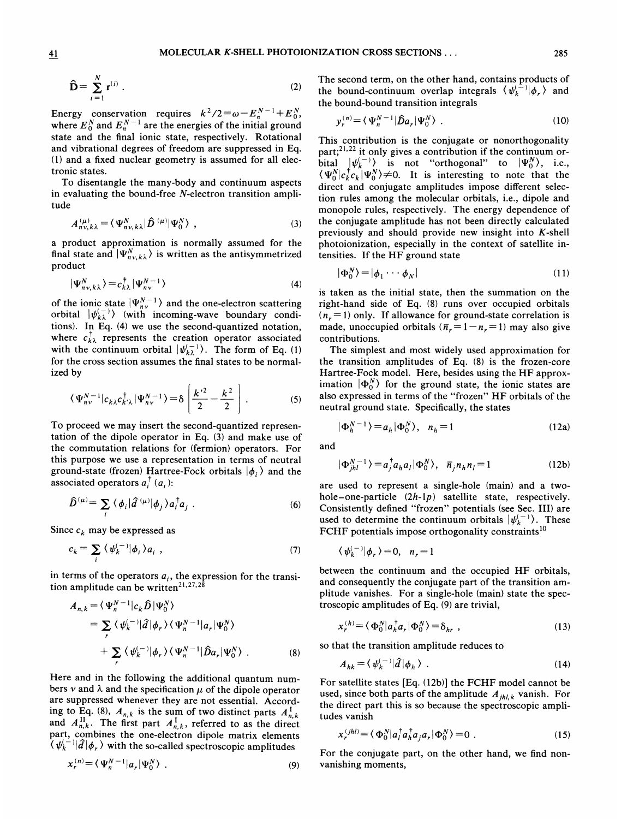$$
\widehat{\mathbf{D}} = \sum_{i=1}^{N} \mathbf{r}^{(i)} \tag{2}
$$

Energy conservation requires  $k^2/2 = \omega - E_n^{N-1} + E_0^N$ , where  $E_0^N$  and  $E_n^{N-1}$  are the energies of the initial ground state and the final ionic state, respectively. Rotational and vibrational degrees of freedom are suppressed in Eq. (1) and a fixed nuclear geometry is assumed for all electronic states.

To disentangle the many-body and continuum aspects in evaluating the bound-free  $N$ -electron transition amplitude

$$
A_{n\nu,k\lambda}^{(\mu)} = \langle \Psi_{n\nu,k\lambda}^N | \hat{D}^{(\mu)} | \Psi_0^N \rangle \tag{3}
$$

a product approximation is normally assumed for the final state and  $|\Psi_{n\nu,k\lambda}^{N}\rangle$  is written as the antisymmetrized product

$$
|\Psi_{n\nu,k\lambda}^{N}\rangle = c_{k\lambda}^{\dagger} |\Psi_{n\nu}^{N-1}\rangle
$$
 (4)

of the ionic state  $|\Psi_{n\nu}^{N-1}\rangle$  and the one-electron scattering orbital  $|\psi_{k\lambda}^{(-)}\rangle$  (with incoming-wave boundary conditions). In Eq. (4) we use the second-quantized notation, where  $c_{k\lambda}^{\dagger}$  represents the creation operator associated with the continuum orbital  $|\psi_{k\lambda}^{(-)}\rangle$ . The form of Eq. (1) for the cross section assumes the final states to be normalized by

$$
\langle \Psi_{n\nu}^{N-1} | c_{k\lambda} c_{k'\lambda}^\dagger | \Psi_{n\nu}^{N-1} \rangle = \delta \left[ \frac{k'^2}{2} - \frac{k^2}{2} \right] . \tag{5}
$$

To proceed we may insert the second-quantized representation of the dipole operator in Eq. (3) and make use of the commutation relations for (fermion) operators. For this purpose we use a representation in terms of neutral ground-state (frozen) Hartree-Fock orbitals  $|\phi_i\rangle$  and the associated operators  $a_i^{\dagger}$  ( $a_i$ ):

$$
\hat{D}^{(\mu)} = \sum_{i} \langle \phi_i | \hat{d}^{(\mu)} | \phi_j \rangle a_i^{\dagger} a_j . \tag{6}
$$

Since  $c_k$  may be expressed as

$$
c_k = \sum_i \langle \psi_k^{(-)} | \phi_i \rangle a_i \tag{7}
$$

in terms of the operators  $a_i$ , the expression for the transition amplitude can be writte '

$$
A_{n,k} = \langle \Psi_n^{N-1} | c_k \hat{D} | \Psi_0^N \rangle
$$
  
=  $\sum_r \langle \psi_k^{(-)} | \hat{d} | \phi_r \rangle \langle \Psi_n^{N-1} | a_r | \Psi_0^N \rangle$   
+  $\sum_r \langle \psi_k^{(-)} | \phi_r \rangle \langle \Psi_n^{N-1} | \hat{D} a_r | \Psi_0^N \rangle$ . (8)

Here and in the following the additional quantum numbers  $\nu$  and  $\lambda$  and the specification  $\mu$  of the dipole operator are suppressed whenever they are not essential. According to Eq. (8),  $A_{n,k}$  is the sum of two distinct parts  $A_{n,k}^{\text{I}}$ and  $A_{n,k}^{\{1\}}$ . The first part  $A_{n,k}^{\{1\}}$ , referred to as the direct part, combines the one-electron dipole matrix element  $\langle \psi_k^{(-)} | \hat{d} | \phi \rangle$  with the so-called spectroscopic amplitudes

$$
x_r^{(n)} = \langle \Psi_n^{N-1} | a_r | \Psi_0^N \rangle \tag{9}
$$

The second term, on the other hand, contains products of the bound-continuum overlap integrals  $\langle \psi_k^{(-)} | \phi_r \rangle$  and the bound-bound transition integrals

$$
y_r^{(n)} = \langle \Psi_n^{N-1} | \hat{D} a_r | \Psi_0^N \rangle \tag{10}
$$

This contribution is the conjugate or nonorthogonal part;<sup>21,22</sup> it only gives a contribution if the continuum orbital  $|\psi_k^{(-)}\rangle$  is not "orthogonal" to  $|\Psi_0^N\rangle$ , i.e.,  $\langle \Psi_0^N | c_k^{\dagger} c_k | \Psi_0^N \rangle \neq 0$ . It is interesting to note that the direct and conjugate amplitudes impose different selection rules among the molecular orbitals, i.e., dipole and monopole rules, respectively. The energy dependence of the conjugate amplitude has not been directly calculated previously and should provide new insight into  $K$ -shell photoionization, especially in the context of satellite intensities. If the HF ground state

$$
|\Phi_0^N\rangle = |\phi_1 \cdots \phi_N|
$$
 (11)

is taken as the initial state, then the summation on the right-hand side of Eq. (8) runs over occupied orbitals  $(n_r=1)$  only. If allowance for ground-state correlation is made, unoccupied orbitals ( $\bar{n}_r = 1 - n_r = 1$ ) may also give contributions.

The simplest and most widely used approximation for the transition amplitudes of Eq. (8) is the frozen-core Hartree-Fock model. Here, besides using the HF approximation  $|\Phi_0^N\rangle$  for the ground state, the ionic states are also expressed in terms of the "frozen" HF orbitals of the neutral ground state. Specifically, the states

$$
|\Phi_h^{N-1}\rangle = a_h |\Phi_0^N\rangle, \quad n_h = 1 \tag{12a}
$$

and

$$
|\Phi_{jhl}^{N-1}\rangle = a_j^{\dagger} a_h a_l |\Phi_0^N\rangle, \quad \overline{n}_j n_h n_l = 1
$$
 (12b)

are used to represent a single-hole (main) and a twohole-one-particle  $(2h-1p)$  satellite state, respectively. Consistently defined "frozen" potentials (see Sec. III) are used to determine the continuum orbitals  $|\psi_k^{(-)}\rangle$ . These FCHF potentials impose orthogonality constraints<sup>10</sup>

$$
\langle \psi_k^{(-)} | \phi_r \rangle = 0, \quad n_r = 1
$$

between the continuum and the occupied HF orbitals, and consequently the conjugate part of the transition amplitude vanishes. For a single-hole (main) state the spectroscopic amplitudes of Eq. (9) are trivial,

$$
x_r^{(h)} = \langle \Phi_0^N | a_h^\dagger a_r | \Phi_0^N \rangle = \delta_{hr} \tag{13}
$$

so that the transition amplitude reduces to

$$
A_{hk} = \langle \psi_k^{(-)} | \hat{d} | \phi_h \rangle \tag{14}
$$

For satellite states [Eq. (12b)] the FCHF model cannot be used, since both parts of the amplitude  $A_{jhl,k}$  vanish. For the direct part this is so because the spectroscopic amplitudes vanish

$$
x_r^{(jhl)} = \langle \Phi_0^N | a_l^\dagger a_h^\dagger a_j a_r | \Phi_0^N \rangle = 0 \tag{15}
$$

For the conjugate part, on the other hand, we find nonvanishing moments,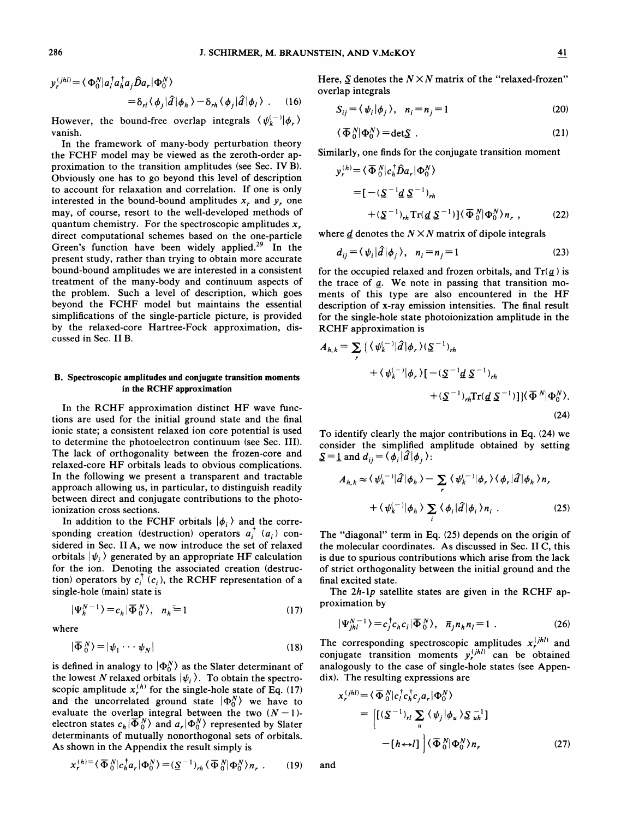$$
y_r^{(jhl)} = \langle \Phi_0^N | a_l^\dagger a_h^\dagger a_j \hat{D} a_r | \Phi_0^N \rangle
$$
  
=  $\delta_{rl} \langle \phi_j | \hat{d} | \phi_h \rangle - \delta_{rh} \langle \phi_j | \hat{d} | \phi_l \rangle$ . (16)

However, the bound-free overlap integrals  $\langle \psi_k^{(-)} | \phi_r \rangle$ vanish.

In the framework of many-body perturbation theory the FCHF model may be viewed as the zeroth-order approximation to the transition amplitudes (see Sec. IV B). Obviously one has to go beyond this level of description to account for relaxation and correlation. If one is only interested in the bound-bound amplitudes  $x<sub>r</sub>$ , and  $y<sub>r</sub>$ , one may, of course, resort to the well-developed methods of quantum chemistry. For the spectroscopic amplitudes  $x$ . direct computational schemes based on the one-particle Green's function have been widely applied.<sup>29</sup> In the present study, rather than trying to obtain more accurate bound-bound amplitudes we are interested in a consistent treatment of the many-body and continuum aspects of the problem. Such a level of description, which goes beyond the FCHF model but maintains the essential simplifications of the single-particle picture, is provided by the relaxed-core Hartree-Fock approximation, discussed in Sec. II B.

# B. Spectroscopic amplitudes and conjugate transition moments in the RCHF approximation

In the RCHF approximation distinct HF wave functions are used for the initial ground state and the final ionic state; a consistent relaxed ion core potential is used to determine the photoelectron continuum (see Sec. III). The lack of orthogonality between the frozen-core and relaxed-core HF orbitals leads to obvious complications. In the following we present a transparent and tractable approach allowing us, in particular, to distinguish readily between direct and conjugate contributions to the photoionization cross sections.

In addition to the FCHF orbitals  $|\phi_i\rangle$  and the corresponding creation (destruction) operators  $a_i^{\dagger}$  ( $a_i$ ) considered in Sec. II A, we now introduce the set of relaxed orbitals  $|\psi_i\rangle$  generated by an appropriate HF calculation for the ion. Denoting the associated creation (destruction) operators by  $c_i^{\dagger}$  ( $c_i$ ), the RCHF representation of a single-hole (main) state is

$$
|\Psi_h^{N-1}\rangle = c_h |\overline{\Phi}_0^N\rangle, \quad n_h = 1 \tag{17}
$$

$$
\overline{\Phi}_0^N\rangle = |\psi_1 \cdots \psi_N| \tag{18}
$$

is defined in analogy to  $|\Phi_0^N\rangle$  as the Slater determinant of the lowest N relaxed orbitals  $|\psi_i\rangle$ . To obtain the spectroscopic amplitude  $x_t^{(h)}$  for the single-hole state of Eq. (17) and the uncorrelated ground state  $|\Phi_0^N\rangle$  we have to evaluate the overlap integral between the two  $(N-1)$ electron states  $c_h | \overline{\Phi}_0^N \rangle$  and  $a_r | \Phi_0^N \rangle$  represented by Slater determinants of mutually nonorthogonal sets of orbitals. As shown in the Appendix the result simply is

$$
x_r^{(h)} = \langle \overline{\Phi}_0^N | c_h^{\dagger} a_r | \Phi_0^N \rangle = (\underline{S}^{-1})_{rh} \langle \overline{\Phi}_0^N | \Phi_0^N \rangle n_r . \qquad (19)
$$

Here,  $S$  denotes the  $N \times N$  matrix of the "relaxed-frozen" overlap integrals

$$
S_{ij} = \langle \psi_i | \phi_j \rangle, \quad n_i = n_j = 1 \tag{20}
$$

$$
\langle \overline{\Phi}_0^N | \Phi_0^N \rangle = \det \underline{S} \ . \tag{21}
$$

Similarly, one finds for the conjugate transition moment

$$
y_r^{(h)} = \langle \overline{\Phi}_0^N | c_h^{\dagger} \hat{D} a_r | \Phi_0^N \rangle
$$
  
= 
$$
[-(\underline{S}^{-1} \underline{d} \underline{S}^{-1})_{rh}
$$

$$
+(\underline{S}^{-1})_{rh} \text{Tr}(\underline{d} \underline{S}^{-1})] \langle \overline{\Phi}_0^N | \Phi_0^N \rangle_{n_r}, \qquad (22)
$$

where  $\underline{d}$  denotes the  $N \times N$  matrix of dipole integrals

$$
d_{ij} = \langle \psi_i | \hat{d} | \phi_j \rangle, \quad n_i = n_j = 1 \tag{23}
$$

for the occupied relaxed and frozen orbitals, and  $Tr(\underline{a})$  is the trace of  $q$ . We note in passing that transition moments of this type are also encountered in the HF description of x-ray emission intensities. The final result for the single-hole state photoionization amplitude in the RCHF approximation is

$$
A_{h,k} = \sum_{r} \left\{ \left\langle \psi_{k}^{(-)} | \hat{d} | \phi_{r} \right\rangle (\underline{S}^{-1})_{rh} \right. + \left\langle \psi_{k}^{(-)} | \phi_{r} \right\rangle \left[ -(\underline{S}^{-1} \underline{d} \, \underline{S}^{-1})_{rh} \right. + \left. (\underline{S}^{-1})_{rh} \text{Tr}(\underline{d} \, \underline{S}^{-1}) \right] \right\} \left\langle \overline{\Phi}^{N} | \Phi_{0}^{N} \right\rangle.
$$
\n(24)

To identify clearly the major contributions in Eq. (24} we consider the simplified amplitude obtained by setting  $S=1$  and  $d_{ij} = \langle \phi_i | \hat{d} | \phi_j \rangle$ :

$$
A_{h,k} \approx \langle \psi_k^{(-)} | \hat{d} | \phi_h \rangle - \sum_r \langle \psi_k^{(-)} | \phi_r \rangle \langle \phi_r | \hat{d} | \phi_h \rangle n_r
$$
  
+  $\langle \psi_k^{(-)} | \phi_h \rangle \sum_i \langle \phi_i | \hat{d} | \phi_i \rangle n_i$ . (25)

The "diagonal" term in Eq. (25} depends on the origin of the molecular coordinates. As discussed in Sec. II C, this is due to spurious contributions which arise from the lack of strict orthogonality between the initial ground and the final excited state.

The  $2h$ -1p satellite states are given in the RCHF approximation by

where 
$$
|\Psi_{jhl}^{N-1}\rangle = c_j^{\dagger}c_h c_l|\overline{\Phi}_0^N\rangle, \quad \overline{n}_j n_h n_l = 1. \tag{26}
$$

The corresponding spectroscopic amplitudes  $x_r^{(jhl)}$  and conjugate transition moments  $y_r^{(jhl)}$  can be obtaine analogously to the case of single-hole states (see Appendix). The resulting expressions are

$$
x_r^{(jhl)} = \langle \overline{\Phi}_0^N | c_r^\dagger c_h^\dagger c_j a_r | \Phi_0^N \rangle
$$
  
= 
$$
\left[ [(\underline{S}^{-1})_{rl} \sum_u \langle \psi_j | \phi_u \rangle \underline{S}_{uh}^{-1}] - [h \leftrightarrow l] \right] \langle \overline{\Phi}_0^N | \Phi_0^N \rangle n_r
$$
 (27)

and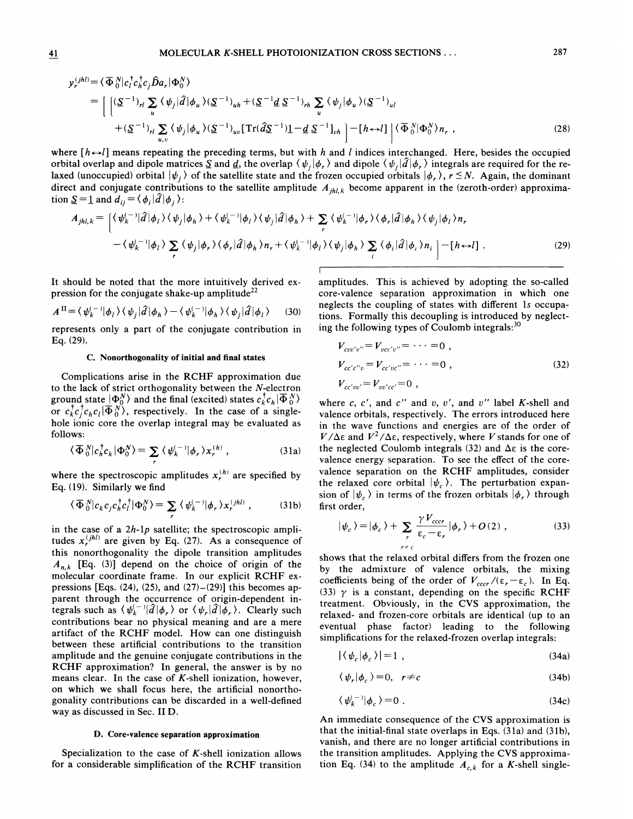41 MOLECULAR K-SHELL PHOTOIONIZATION CROSS SECTIONS . . . 287

$$
h^{(l)} = \langle \overline{\Phi}_{0}^{N} | c_{l}^{\dagger} c_{h}^{\dagger} c_{j} \hat{D} a_{r} | \Phi_{0}^{N} \rangle
$$
  
\n
$$
= \left[ \left[ \frac{(\mathcal{S}^{-1})_{rl} \sum_{u} \langle \psi_{j} | \hat{d} | \phi_{u} \rangle (\mathcal{S}^{-1})_{uh} + (\mathcal{S}^{-1} \underline{d} \mathcal{S}^{-1})_{rh} \sum_{u} \langle \psi_{j} | \phi_{u} \rangle (\mathcal{S}^{-1})_{ul}}{(\mathcal{S}^{-1})_{rl} \sum_{u} \langle \psi_{j} | \phi_{u} \rangle (\mathcal{S}^{-1})_{uv}} \right] + (\mathcal{S}^{-1})_{rl} \sum_{u,v} \langle \psi_{j} | \phi_{u} \rangle (\mathcal{S}^{-1})_{uv} \left[ \text{Tr}(\hat{d} \mathcal{S}^{-1}) \underline{1} - \underline{d} \mathcal{S}^{-1} \right]_{vh} \right] - [h \leftrightarrow l] \left| \langle \overline{\Phi}_{0}^{N} | \Phi_{0}^{N} \rangle n_{r} , \qquad (28)
$$

where  $[h \leftrightarrow l]$  means repeating the preceding terms, but with h and l indices interchanged. Here, besides the occupied orbital overlap and dipole matrices  $\Sigma$  and  $\underline{d}$ , the overlap  $\langle \psi_j | \phi_r \rangle$  and dipole  $\langle \psi_j | \hat{d} | \phi_r \rangle$  integrals are required for the relaxed (unoccupied) orbital  $|\psi_i\rangle$  of the satellite state and the frozen occupied orbitals  $|\phi_r\rangle$ ,  $r \leq N$ . Again, the dominant direct and conjugate contributions to the satellite amplitude  $A_{ihl,k}$  become apparent in the (zeroth-order) approximation  $\underline{S}=\underline{1}$  and  $d_{ij} = \langle \phi_i | \hat{d} | \phi_j \rangle$ :

$$
A_{jhl,k} = \left[ \langle \psi_k^{(-)} | \hat{d} | \phi_l \rangle \langle \psi_j | \phi_h \rangle + \langle \psi_k^{(-)} | \phi_l \rangle \langle \psi_j | \hat{d} | \phi_h \rangle + \sum_r \langle \psi_k^{(-)} | \phi_r \rangle \langle \phi_r | \hat{d} | \phi_h \rangle \langle \psi_j | \phi_l \rangle n_r - \langle \psi_k^{(-)} | \phi_l \rangle \sum_r \langle \psi_j | \phi_r \rangle \langle \phi_r | \hat{d} | \phi_h \rangle n_r + \langle \psi_k^{(-)} | \phi_l \rangle \langle \psi_j | \phi_h \rangle \sum_i \langle \phi_i | \hat{d} | \phi_i \rangle n_i \right] - [h \leftrightarrow l] . \tag{29}
$$

It should be noted that the more intuitively derived expression for the conjugate shake-up amplitude<sup>22</sup>

$$
A^{II} = \langle \psi_k^{(-)} | \phi_l \rangle \langle \psi_j | \hat{d} | \phi_h \rangle - \langle \psi_k^{(-)} | \phi_h \rangle \langle \psi_j | \hat{d} | \phi_l \rangle \tag{30}
$$

represents only a part of the conjugate contribution in Eq. (29).

### C. Nonorthogonality of initial and final states

Complications arise in the RCHF approximation due to the lack of strict orthogonality between the X-electron ground state  $|\Phi_0^N\rangle$  and the final (excited) states  $c_k^{\dagger}c_h|\overline{\Phi}_0^N\rangle$ or  $c_{k}^{\dagger}c_{j}^{\dagger}c_{h}c_{l}|\overline{\Phi}_{0}^{N}$ , respectively. In the case of a single hole ionic core the overlap integral may be evaluated as follows:

$$
\langle \overline{\Phi}_0^N | c_h^{\dagger} c_k | \Phi_0^N \rangle = \sum_r \langle \psi_k^{(-)} | \phi_r \rangle x_r^{(h)}, \qquad (31a)
$$

where the spectroscopic amplitudes  $x_r^{(h)}$  are specified by Eq. (19). Similarly we find

$$
\langle \overline{\Phi}_0^N | c_k c_j c_h^{\dagger} c_l^{\dagger} | \Phi_0^N \rangle = \sum_r \langle \psi_k^{(-)} | \phi_r \rangle x_r^{(jhl)}, \qquad (31b)
$$

in the case of a 2h-1p satellite; the spectroscopic amplitudes  $x_{r}^{(jhl)}$  are given by Eq. (27). As a consequence of this nonorthogonality the dipole transition amplitudes  $A_{n,k}$  [Eq. (3)] depend on the choice of origin of the molecular coordinate frame. In our explicit RCHF expressions [Eqs.  $(24)$ ,  $(25)$ , and  $(27)$ – $(29)$ ] this becomes apparent through the occurrence of origin-dependent integrals such as  $\langle \psi_k^{(-)} | \hat{d} | \phi_r \rangle$  or  $\langle \psi_r | \hat{d} | \phi_r \rangle$ . Clearly such contributions bear no physical meaning and are a mere artifact of the RCHF model. How can one distinguish between these artificial contributions to the transition amplitude and the genuine conjugate contributions in the RCHF approximation? In general, the answer is by no means clear. In the case of  $K$ -shell ionization, however, on which we shall focus here, the artificial nonorthogonality contributions can be discarded in a well-defined way as discussed in Sec. II D.

#### D. Core-valence separation approximation

Specialization to the case of  $K$ -shell ionization allows for a considerable simplification of the RCHF transition amplitudes. This is achieved by adopting the so-called core-valence separation approximation in which one neglects the coupling of states with different 1s occupations. Formally this decoupling is introduced by neglecting the following types of Coulomb integrals:<sup>30</sup>

$$
V_{c v v' v''} = V_{v c v' v''} = \dots = 0,
$$
  
\n
$$
V_{c c' c'' v} = V_{c c' v c''} = \dots = 0,
$$
  
\n
$$
V_{c c' v v'} = V_{v v' c c'} = 0,
$$
  
\n(32)

where c, c', and c'' and v, v', and v'' label K-shell and valence orbitals, respectively. The errors introduced here in the wave functions and energies are of the order of  $V/\Delta \varepsilon$  and  $V^2/\Delta \varepsilon$ , respectively, where V stands for one of the neglected Coulomb integrals (32) and  $\Delta \varepsilon$  is the corevalence energy separation. To see the effect of the corevalence separation on the RCHF amplitudes, consider the relaxed core orbital  $|\psi_{c}\rangle$ . The perturbation expansion of  $|\psi_c\rangle$  in terms of the frozen orbitals  $|\phi_r\rangle$  through first order,

$$
|\psi_c\rangle = |\phi_c\rangle + \sum_r \frac{\gamma V_{cccr}}{\varepsilon_c - \varepsilon_r} |\phi_r\rangle + O(2) , \qquad (33)
$$

shows that the relaxed orbital differs from the frozen one by the admixture of valence orbitals, the mixing coefficients being of the order of  $V_{cccr}/(\varepsilon_r-\varepsilon_c)$ . In Eq. (33)  $\gamma$  is a constant, depending on the specific RCHF treatment. Obviously, in the CVS approximation, the relaxed- and frozen-core orbitals are identical (up to an eventual phase factor) leading to the following simplifications for the relaxed-frozen overlap integrals:

$$
\langle \psi_c | \phi_c \rangle = 1 \tag{34a}
$$

$$
\langle \psi_r | \phi_c \rangle = 0, \quad r \neq c \tag{34b}
$$

$$
\langle \psi_k^{(-)} | \phi_c \rangle = 0 \tag{34c}
$$

An immediate consequence of the CVS approximation is that the initial-final state overlaps in Eqs. (31a) and (31b), vanish, and there are no longer artificial contributions in the transition amplitudes. Applying the CVS approximation Eq. (34) to the amplitude  $A_{c,k}$  for a K-shell single

 $y_r^{(j)}$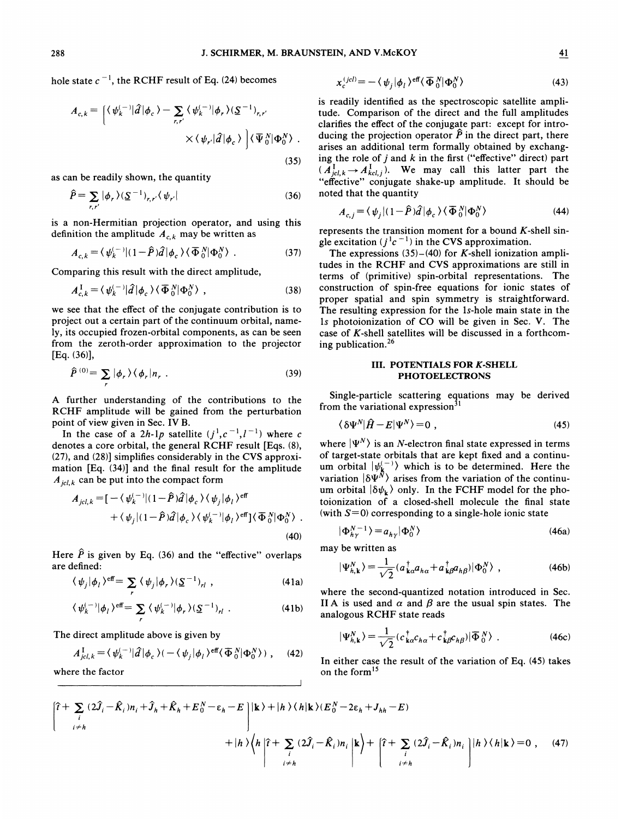hole state  $c^{-1}$ , the RCHF result of Eq. (24) becomes

$$
A_{c,k} = \left[ \langle \psi_k^{(-)} | \hat{d} | \phi_c \rangle - \sum_{r,r'} \langle \psi_k^{(-)} | \phi_r \rangle (\underline{S}^{-1})_{r,r'} \right. \\ \times \langle \psi_{r'} | \hat{d} | \phi_c \rangle \left. \right] \langle \overline{\Psi}_0^N | \Phi_0^N \rangle \tag{35}
$$

as can be readily shown, the quantity

$$
\widehat{P} = \sum_{r,r'} |\phi_r\rangle (\underline{S}^{-1})_{r,r'} \langle \psi_{r'}|
$$
\n(36)

is a non-Hermitian projection operator, and using this definition the amplitude  $A_{c,k}$  may be written as

$$
A_{c,k} = \langle \psi_k^{(-)} | (1 - \hat{P}) \hat{d} | \phi_c \rangle \langle \overline{\Phi}_0^N | \Phi_0^N \rangle . \tag{37}
$$

Comparing this result with the direct amplitude,

$$
A_{c,k}^{\mathrm{I}} = \langle \psi_k^{(-)} | \hat{d} | \phi_c \rangle \langle \overline{\Phi}_0^N | \Phi_0^N \rangle \tag{38}
$$

we see that the effect of the conjugate contribution is to project out a certain part of the continuum orbital, namely, its occupied frozen-orbital components, as can be seen from the zeroth-order approximation to the projector [Eq. (36)),

$$
\hat{P}^{(0)} = \sum_{r} |\phi_{r}\rangle \langle \phi_{r}|n_{r} . \qquad (39)
$$

A further understanding of the contributions to the RCHF amplitude will be gained from the perturbation point of view given in Sec. IV B.

In the case of a 2h-1p satellite  $(j^1, c^{-1}, l^{-1})$  where c denotes a core orbital, the general RCHF result [Eqs. (8), (27), and (28)] simplifies considerably in the CVS approximation [Eq. (34)] and the final result for the amplitude  $A_{icl,k}$  can be put into the compact form

$$
A_{jcl,k} = \left[ -\langle \psi_k^{(-)} | (1-\hat{P}) \hat{d} | \phi_c \rangle \langle \psi_j | \phi_l \rangle^{\text{eff}} + \langle \psi_j | (1-\hat{P}) \hat{d} | \phi_c \rangle \langle \psi_k^{(-)} | \phi_l \rangle^{\text{eff}} \right] \langle \overline{\Phi}_0^N | \Phi_0^N \rangle .
$$
\n(40)

Here  $\hat{P}$  is given by Eq. (36) and the "effective" overlaps are defined:

$$
\langle \psi_j | \phi_l \rangle^{\text{eff}} = \sum_r \langle \psi_j | \phi_r \rangle (\underline{S}^{-1})_{rl} , \qquad (41a)
$$

$$
\langle \psi_k^{(-)} | \phi_l \rangle^{\text{eff}} = \sum_r \langle \psi_k^{(-)} | \phi_r \rangle (\underline{S}^{-1})_{rl} . \tag{41b}
$$

The direct amplitude above is given by

$$
A_{jcl,k}^{\mathrm{I}} = \langle \psi_k^{(-)} | \hat{d} | \phi_c \rangle (-\langle \psi_j | \phi_l \rangle^{\mathrm{eff}} \langle \overline{\Phi}_0^N | \Phi_0^N \rangle ) , \quad (42)
$$

where the factor

$$
x_c^{(jcl)} = -\langle \psi_j | \phi_l \rangle^{\text{eff}} \langle \overline{\Phi}_0^N | \Phi_0^N \rangle \tag{43}
$$

is readily identified as the spectroscopic satellite amplitude. Comparison of the direct and the full amplitudes clarifies the effect of the conjugate part: except for introducing the projection operator  $\hat{P}$  in the direct part, there arises an additional term formally obtained by exchanging the role of  $j$  and  $k$  in the first ("effective" direct) part ( $A_{jcl,k}^{\text{I}} \rightarrow A_{kcl,j}^{\text{I}}$ ). We may call this latter part the "effective" conjugate shake-up amplitude. It should be noted that the quantity

$$
A_{c,j} = \langle \psi_j | (1 - \hat{P})\hat{d} | \phi_c \rangle \langle \overline{\Phi}_0^N | \Phi_0^N \rangle
$$
 (44)

represents the transition moment for a bound  $K$ -shell single excitation  $(j<sup>1</sup>c<sup>-1</sup>)$  in the CVS approximation.

The expressions  $(35)$ - $(40)$  for K-shell ionization amplitudes in the RCHF and CVS approximations are still in terms of (primitive) spin-orbital representations. The construction of spin-free equations for ionic states of proper spatial and spin symmetry is straightforward. The resulting expression for the 1s-hole main state in the 1s photoionization of CO will be given in Sec. V. The case of  $K$ -shell satellites will be discussed in a forthcoming publication.

# III. POTENTIALS FOR K-SHELL PHOTOELECTRONS

Single-particle scattering equations may be derived from the variational expression $31$ 

$$
\langle \delta \Psi^N | \hat{H} - E | \Psi^N \rangle = 0 \tag{45}
$$

where  $|\Psi^N\rangle$  is an N-electron final state expressed in terms of target-state orbitals that are kept fixed and a continuum orbital  $|\psi_{\mathbf{k}}^{(-)}\rangle$  which is to be determined. Here the variation  $\delta \Psi^N$  arises from the variation of the continu um orbital  $|\delta \psi_{\mathbf{k}}\rangle$  only. In the FCHF model for the photoionization of a closed-shell molecule the final state (with  $S=0$ ) corresponding to a single-hole ionic state

$$
|\Phi_{h\nu}^{N-1}\rangle = a_{h\nu}|\Phi_0^N\rangle
$$
\n(46a)

may be written as

be written as  
\n
$$
|\Psi_{h,\mathbf{k}}^N\rangle = \frac{1}{\sqrt{2}} (a_{\mathbf{k}\alpha}^\dagger a_{h\alpha} + a_{\mathbf{k}\beta}^\dagger a_{h\beta}) |\Phi_0^N\rangle \tag{46b}
$$

where the second-quantized notation introduced in Sec. II A is used and  $\alpha$  and  $\beta$  are the usual spin states. The analogous RCHF state reads

$$
|\Psi_{h,\mathbf{k}}^{N}\rangle = \frac{1}{\sqrt{2}} (c_{\mathbf{k}\alpha}^{\dagger} c_{h\alpha} + c_{\mathbf{k}\beta}^{\dagger} c_{h\beta}) |\overline{\Phi}_{0}^{N}\rangle
$$
 (46c)

In either case the result of the variation of Eq. (45) takes on the form'

where the factor  
\n
$$
\hat{i} + \sum_{i} (2\hat{J}_{i} - \hat{K}_{i})n_{i} + \hat{J}_{h} + \hat{K}_{h} + E_{0}^{N} - \varepsilon_{h} - E
$$
\n
$$
+ |h\rangle \langle h| \hat{i} + \sum_{i} (2\hat{J}_{i} - \hat{K}_{i})n_{i} |k\rangle + |h\rangle \langle h|k\rangle (E_{0}^{N} - 2\varepsilon_{h} + J_{hh} - E)
$$
\n
$$
+ |h\rangle \langle h| \hat{i} + \sum_{i} (2\hat{J}_{i} - \hat{K}_{i})n_{i} |k\rangle + | \hat{i} + \sum_{i} (2\hat{J}_{i} - \hat{K}_{i})n_{i} |h\rangle \langle h|k\rangle = 0 , \quad (47)
$$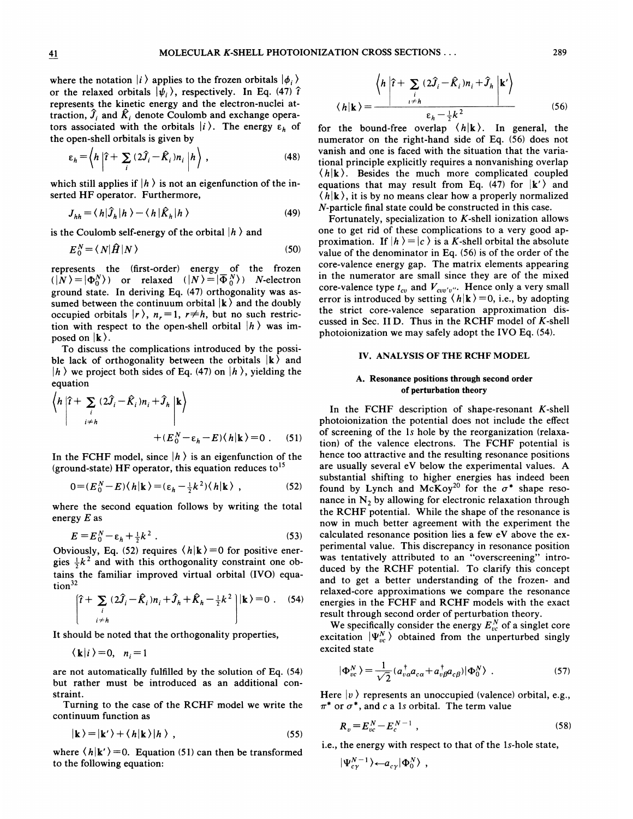where the notation  $|i\rangle$  applies to the frozen orbitals  $|\phi_i\rangle$ or the relaxed orbitals  $|\psi_i\rangle$ , respectively. In Eq. (47)  $\hat{\tau}$ represents the kinetic energy and the electron-nuclei attraction,  $\hat{J}_i$  and  $\hat{K}_i$  denote Coulomb and exchange operators associated with the orbitals  $|i\rangle$ . The energy  $\varepsilon_h$  of the open-shell orbitals is given by

$$
\varepsilon_h = \left\langle h \left| \hat{r} + \sum_i \left( 2\hat{J}_i - \hat{K}_i \right) n_i \right| h \right\rangle, \tag{48}
$$

which still applies if  $|h\rangle$  is not an eigenfunction of the inserted HF operator. Furthermore,

$$
J_{hh} = \langle h|\hat{J}_h|h\rangle - \langle h|\hat{K}_h|h\rangle \tag{49}
$$

is the Coulomb self-energy of the orbital  $|h\rangle$  and

$$
E_0^N = \langle N|\hat{H}|N\rangle \tag{50}
$$

represents the (first-order) energy of the frozen  $(|N\rangle = |\Phi_0^N\rangle)$  or relaxed  $(|N\rangle = |\overline{\Phi}_0^N\rangle)$  N-electron ground state. In deriving Eq. (47) orthogonality was assumed between the continuum orbital  $\ket{\mathbf{k}}$  and the doubly occupied orbitals  $|r \rangle$ ,  $n_r = 1$ ,  $r \neq h$ , but no such restriction with respect to the open-shell orbital  $|h\rangle$  was imposed on  $|\mathbf{k}\rangle$ .

To discuss the complications introduced by the possible lack of orthogonality between the orbitals  $\mathbf{k}$  and  $|h\rangle$  we project both sides of Eq. (47) on  $|h\rangle$ , yielding the equation

$$
\left\langle h \left| \hat{\mathbf{r}} + \sum_{i} (2\hat{\mathbf{J}}_{i} - \hat{\mathbf{K}}_{i})n_{i} + \hat{\mathbf{J}}_{h} \right| \mathbf{k} \right\rangle
$$
  
+ 
$$
\left. + (E_{0}^{N} - \varepsilon_{h} - E)(h|\mathbf{k}) = 0 \right. . \tag{51}
$$

In the FCHF model, since  $|h\rangle$  is an eigenfunction of the (ground-state) HF operator, this equation reduces to<sup>15</sup>

$$
0 = (E_0^N - E)\langle h|\mathbf{k}\rangle = (\varepsilon_h - \frac{1}{2}k^2)\langle h|\mathbf{k}\rangle \quad , \tag{52}
$$

where the second equation follows by writing the total energy  $E$  as

$$
E = E_0^N - \varepsilon_h + \frac{1}{2}k^2
$$
 (53)

Obviously, Eq. (52) requires  $\langle h|\mathbf{k}\rangle = 0$  for positive energies  $\frac{1}{2}k^2$  and with this orthogonality constraint one obtains the familiar improved virtual orbital (IVO} equation<sup>32</sup>

$$
\begin{bmatrix}\n\hat{\mathbf{i}} + \sum_{i} (2\hat{\mathbf{j}}_{i} - \hat{\mathbf{k}}_{i})n_{i} + \hat{\mathbf{j}}_{h} + \hat{\mathbf{k}}_{h} - \frac{1}{2}k^{2}\n\end{bmatrix}|\mathbf{k}\rangle = 0
$$
 (54)  
\n
$$
\text{ould be noted that the orthogonality properties,}
$$
\n
$$
\langle \mathbf{k} | i \rangle = 0, \quad n_{i} = 1
$$

It should be noted that the orthogonality properties

are not automatically fulfilled by the solution of Eq. (54) but rather must be introduced as an additional constraint.

Turning to the case of the RCHF model we write the continuum function as

$$
|\mathbf{k}\rangle = |\mathbf{k}'\rangle + \langle h|\mathbf{k}\rangle |h\rangle , \qquad (55)
$$

where  $\langle h | k' \rangle = 0$ . Equation (51) can then be transformed to the following equation:

$$
\langle h \left| \hat{t} + \sum_{i} (2\hat{J}_{i} - \hat{K}_{i})n_{i} + \hat{J}_{h} \left| \mathbf{k}^{\prime} \right\rangle
$$

$$
\langle h | \mathbf{k} \rangle = \frac{\epsilon_{h} - \frac{1}{2}k^{2}}{(56)}
$$

for the bound-free overlap  $\langle h|\mathbf{k}\rangle$ . In general, the numerator on the right-hand side of Eq. (56) does not vanish and one is faced with the situation that the variational principle explicitly requires a nonvanishing overlap  $\langle h|\mathbf{k}\rangle$ . Besides the much more complicated coupled equations that may result from Eq. (47) for  $|\mathbf{k}'\rangle$  and  $\langle h|\mathbf{k}\rangle$ , it is by no means clear how a properly normalized N-particle final state could be constructed in this case.

Fortunately, specialization to  $K$ -shell ionization allows one to get rid of these complications to a very good approximation. If  $|h\rangle = |c\rangle$  is a K-shell orbital the absolute value of the denominator in Eq. (56) is of the order of the core-valence energy gap. The matrix elements appearing in the numerator are small since they are of the mixed core-valence type  $t_{cv}$  and  $V_{cvv'v''}$ . Hence only a very small error is introduced by setting  $\langle h | \mathbf{k} \rangle = 0$ , i.e., by adopting the strict core-valence separation approximation discussed in Sec. II D. Thus in the RCHF model of  $K$ -shell photoionization we may safely adopt the IVO Eq. (54).

#### IV. ANALYSIS OF THE RCHF MODEL

### A. Resonance positions through second order of perturbation theory

In the FCHF description of shape-resonant  $K$ -shell photoionization the potential does not include the effect of screening of the ls hole by the reorganization (relaxation) of the valence electrons. The FCHF potential is hence too attractive and the resulting resonance positions are usually several eV below the experimental values. A substantial shifting to higher energies has indeed been found by Lynch and McKoy<sup>20</sup> for the  $\sigma^*$  shape resonance in  $N_2$  by allowing for electronic relaxation through the RCHF potential. While the shape of the resonance is now in much better agreement with the experiment the calculated resonance position lies a few eV above the experimental value. This discrepancy in resonance position was tentatively attributed to an "overscreening" introduced by the RCHF potential. To clarify this concept and to get a better understanding of the frozen- and relaxed-core approximations we compare the resonance energies in the FCHF and RCHF models with the exact result through second order of perturbation theory.

We specifically consider the energy  $E_{vc}^{N}$  of a singlet core excitation  $|\Psi_{\nu c}^{N}\rangle$  obtained from the unperturbed singly excited state

$$
|\Phi_{vc}^N\rangle = \frac{1}{\sqrt{2}} (a_{v\alpha}^\dagger a_{c\alpha} + a_{v\beta}^\dagger a_{c\beta}) |\Phi_0^N\rangle \tag{57}
$$

Here  $|v\rangle$  represents an unoccupied (valence) orbital, e.g.,  $\pi^*$  or  $\sigma^*$ , and c a 1s orbital. The term value

$$
R_v = E_{vc}^N - E_c^{N-1} \t\t(58)
$$

i.e., the energy with respect to that of the 1s-hole state,

 $\,$ 

$$
|\Psi_{c\gamma}^{N-1}\rangle_{\leftarrow a_{c\gamma}|\Phi_0^N\rangle}
$$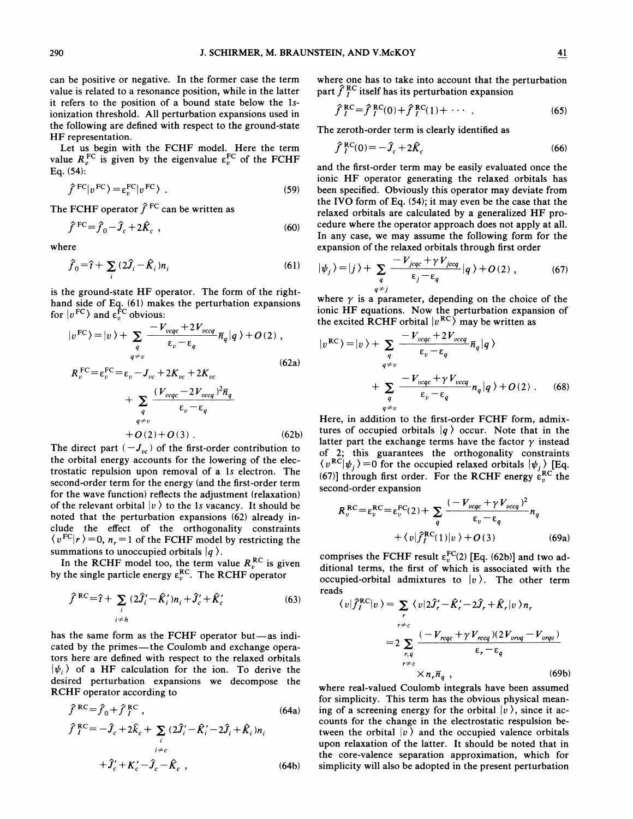can be positive or negative. In the former case the term value is related to a resonance position, while in the latter it refers to the position of a bound state below the 1sionization threshold. A11 perturbation expansions used in the following are defined with respect to the ground-state HF representation.

Let us begin with the FCHF model. Here the term value  $R_v^{\text{FC}}$  is given by the eigenvalue  $\epsilon_v^{\text{FC}}$  of the FCHF Eq. (54):

$$
\hat{f}^{\text{FC}}|v^{\text{FC}}\rangle = \varepsilon_v^{\text{FC}}|v^{\text{FC}}\rangle \tag{59}
$$

The FCHF operator  $\hat{f}^{\text{FC}}$  can be written as

$$
\hat{f}^{\text{FC}} = \hat{f}_0 - \hat{J}_c + 2\hat{K}_c , \qquad (60)
$$

where

$$
\hat{f}_0 = \hat{t} + \sum_i (2\hat{J}_i - \hat{K}_i)n_i
$$
\n(61)

is the ground-state HF operator. The form of the righthand side of Eq. (61) makes the perturbation expansion for  $|v^{\text{FC}}\rangle$  and  $\epsilon_v^{\text{FC}}$  obvious

$$
|v^{FC}\rangle = |v\rangle + \sum_{q} \frac{-V_{v c q c} + 2V_{v c c q}}{\varepsilon_{v} - \varepsilon_{q}} \overline{n}_{q} |q\rangle + O(2) ,
$$
  

$$
R_{v}^{FC} = \varepsilon_{v}^{FC} = \varepsilon_{v} - J_{vc} + 2K_{vc} + 2K_{vc}
$$
 (62a)

$$
+\sum_{q}\frac{(V_{v c q c} - 2V_{v c c q})^2 \overline{n}_q}{\epsilon_v - \epsilon_q} + O(2) + O(3) .
$$
\n(62b)

The direct part  $(-J_{vc})$  of the first-order contribution to the orbital energy accounts for the lowering of the electrostatic repulsion upon removal of a 1s electron. The second-order term for the energy (and the first-order term for the wave function} refiects the adjustment (relaxation) of the relevant orbital  $|v \rangle$  to the 1s vacancy. It should be noted that the perturbation expansions (62) already include the effect of the orthogonality constraints  $\langle v^{FC} | r \rangle = 0$ ,  $n_r = 1$  of the FCHF model by restricting the summations to unoccupied orbitals  $|q\rangle$ .

In the RCHF model too, the term value  $R_v^{\text{RC}}$  is given by the single particle energy  $\epsilon_{v}^{RC}$ . The RCHF operato

$$
\hat{f}^{RC} = \hat{\tau} + \sum_{i} (2\hat{J}'_i - \hat{K}'_i) n_i + \hat{J}'_c + \hat{K}'_c
$$
\n(63)

has the same form as the FCHF operator but—as indicated by the primes —the Coulomb and exchange operators here are defined with respect to the relaxed orbitals  $|\psi_i\rangle$  of a HF calculation for the ion. To derive the desired perturbation expansions we decompose the RCHF operator according to

$$
\hat{f}^{RC} = \hat{f}_0 + \hat{f}_I^{RC},
$$
\n
$$
\hat{f}_I^{RC} = -\hat{J}_c + 2\hat{k}_c + \sum_i (2\hat{J}_i' - \hat{K}_i' - 2\hat{J}_i + \hat{K}_i)n_i
$$
\n
$$
+ \hat{J}_c' + K_c' - \hat{J}_c - \hat{K}_c,
$$
\n(64b)

where one has to take into account that the perturbation part  $\hat{f}^{\text{RC}}_I$  itself has its perturbation expansion

$$
\hat{f}_I^{RC} = \hat{f}_I^{RC}(0) + \hat{f}_I^{RC}(1) + \cdots
$$
 (65)

The zeroth-order term is clearly identified as

$$
\hat{f}_I^{\text{RC}}(0) = -\hat{J}_c + 2\hat{K}_c \tag{66}
$$

and the first-order term may be easily evaluated once the ionic HF operator generating the relaxed orbitals has been specified. Obviously this operator may deviate from the IVO form of Eq. (54); it may even be the case that the relaxed orbitals are calculated by a generalized HF procedure where the operator approach does not apply at all. In any case, we may assume the following form for the expansion of the relaxed orbitals through first order

$$
|\psi_j\rangle = |j\rangle + \sum_{q} \frac{-V_{jqqc} + \gamma V_{jccq}}{\varepsilon_j - \varepsilon_q} |q\rangle + O(2) , \qquad (67)
$$

where  $\gamma$  is a parameter, depending on the choice of the ionic HF equations. Now the perturbation expansion of the excited RCHF orbital  $|v^{RC}\rangle$  may be written as

$$
|v^{RC}\rangle = |v\rangle + \sum_{q} \frac{-V_{vqq} + 2V_{vcq}}{\varepsilon_v - \varepsilon_q} \overline{n}_q |q\rangle
$$
  
+ 
$$
\sum_{q \neq v} \frac{-V_{vqq} + \gamma V_{vccq}}{\varepsilon_v - \varepsilon_q} n_q |q\rangle + O(2) . \quad (68)
$$

Here, in addition to the first-order FCHF form, admixtures of occupied orbitals  $|q\rangle$  occur. Note that in the latter part the exchange terms have the factor  $\gamma$  instead of 2; this guarantees the orthogonality constrain  $\langle v^{RC} | \psi_j \rangle = 0$  for the occupied relaxed orbitals  $| \psi_j \rangle$  [Eq. (67)] through first order. For the RCHF energy  $\varepsilon_{n}^{RC}$  the second-order expansion

$$
R_v^{RC} = \varepsilon_v^{RC} = \varepsilon_v^{FC}(2) + \sum_{q} \frac{(-V_{v c q c} + \gamma V_{v c c q})^2}{\varepsilon_v - \varepsilon_q} n_q
$$
  
+  $\langle v | \hat{f}_I^{RC}(1) | v \rangle + O(3)$  (69a)

comprises the FCHF result  $\varepsilon_v^{FC}(2)$  [Eq. (62b)] and two additional terms, the first of which is associated with the occupied-orbital admixtures to  $|v\rangle$ . The other term reads

$$
\langle v|\hat{f}_I^{RC}|v\rangle = \sum_{r} \langle v|2\hat{J}_r' - \hat{K}_r' - 2\hat{J}_r + \hat{K}_r|v\rangle n_r
$$
  

$$
= 2 \sum_{r,q} \frac{(-V_{reqc} + \gamma V_{rcq})(2V_{vrq} - V_{vrqv})}{\epsilon_r - \epsilon_q}
$$
  

$$
\times n_r \overline{n}_q , \qquad (69b)
$$

where real-valued Coulomb integrals have been assumed for simplicity. This term has the obvious physical meaning of a screening energy for the orbital  $|v\rangle$ , since it accounts for the change in the electrostatic respulsion between the orbital  $|v \rangle$  and the occupied valence orbitals upon relaxation of the latter. It should be noted that in the core-valence separation approximation, which for simplicity will also be adopted in the present perturbation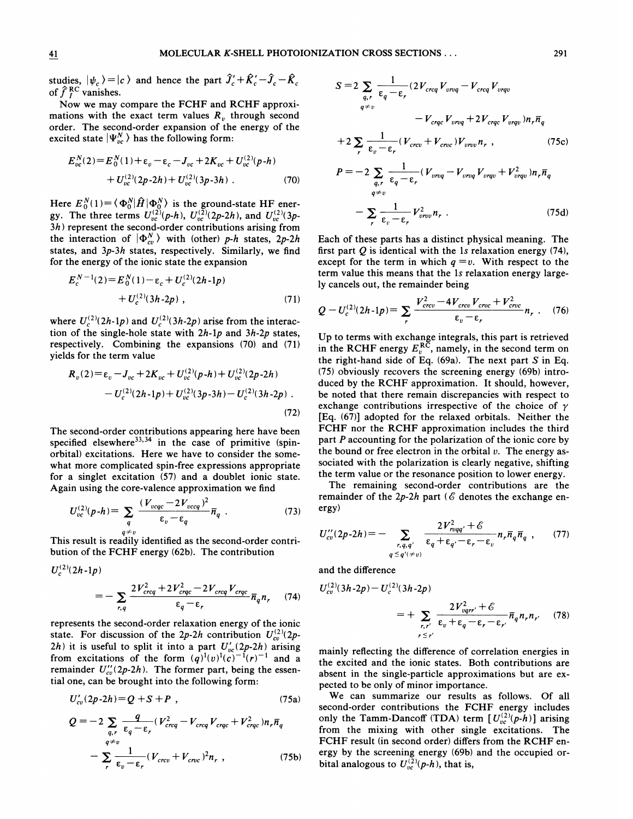studies,  $|\psi_c\rangle = |c\rangle$  and hence the part  $\hat{J}_c' + \hat{K}_c' - \hat{J}_c - \hat{K}_c$ studies,  $|\psi_c|$ <br>of  $\hat{f}_I^{\text{RC}}$  vanishes

Now we may compare the FCHF and RCHF approximations with the exact term values  $R<sub>v</sub>$  through second order. The second-order expansion of the energy of the excited state  $|\Psi_{vc}^{N}\rangle$  has the following form:

$$
E_{vc}^{N}(2) = E_0^{N}(1) + \varepsilon_v - \varepsilon_c - J_{vc} + 2K_{vc} + U_{vc}^{(2)}(p-h) + U_{vc}^{(2)}(2p-2h) + U_{vc}^{(2)}(3p-3h) .
$$
 (70)

Here  $E_0^N(1) = \langle \Phi_0^N | \hat{H} | \Phi_0^N \rangle$  is the ground-state HF energy. The three terms  $U_{\nu c}^{(2)}(p-h)$ ,  $U_{\nu c}^{(2)}(2p-2h)$ , and  $U_{\nu c}^{(2)}(3p-2h)$  $3h$ ) represent the second-order contributions arising from the interaction of  $|\Phi_{cv}^N\rangle$  with (other) p-h states, 2p-2h states, and 3p-3h states, respectively. Similarly, we find for the energy of the ionic state the expansion

$$
E_c^{N-1}(2) = E_0^N(1) - \varepsilon_c + U_c^{(2)}(2h-1p) + U_c^{(2)}(3h-2p) , \qquad (71)
$$

where  $U_c^{(2)}(2h-1p)$  and  $U_c^{(2)}(3h-2p)$  arise from the interac tion of the single-hole state with  $2h-1p$  and  $3h-2p$  states, respectively. Combining the expansions (70) and (71) yields for the term value

$$
R_v(2) = \varepsilon_v - J_{vc} + 2K_{vc} + U_{vc}^{(2)}(p-h) + U_{vc}^{(2)}(2p-2h) - U_c^{(2)}(2h-1p) + U_{vc}^{(2)}(3p-3h) - U_c^{(2)}(3h-2p)
$$
\n(72)

The second-order contributions appearing here have been specified elsewhere<sup>33,34</sup> in the case of primitive (spinorbital) excitations. Here we have to consider the somewhat more complicated spin-free expressions appropriate for a singlet excitation (57) and a doublet ionic state. Again using the core-valence approximation we find

$$
U_{vc}^{(2)}(p-h) = \sum_{q} \frac{(V_{vcqc} - 2V_{vccq})^2}{\varepsilon_v - \varepsilon_q} \overline{n}_q
$$
 (73)

This result is readily identified as the second-order contribution of the FCHF energy (62b). The contribution

$$
U_c^{(2)}(2h-1p)
$$
  
= 
$$
-\sum_{r,q} \frac{2V_{creq}^2 + 2V_{creq}^2 - 2V_{creq}V_{creq}}{\varepsilon_q - \varepsilon_r} \overline{n}_q n_r
$$
 (74)

represents the second-order relaxation energy of the ionic state. For discussion of the 2p-2h contribution  $U_{cv}^{(2)}(2p-$ 2h) it is useful to split it into a part  $U'_{\nu c}(2p-2h)$  arising from excitations of the form  $(q)^1(v)^1(c)^{-1}(r)^{-1}$  and a remainder  $U''_{cv}(2p-2h)$ . The former part, being the essential one, can be brought into the following form:

$$
U'_{cv}(2p-2h)=Q+S+P,
$$
\t(75a)

$$
Q = -2 \sum_{q,r} \frac{q}{\epsilon_q - \epsilon_r} (V_{creq}^2 - V_{creq} V_{creq} + V_{creq}^2) n_r \overline{n}_q
$$
  
- 
$$
\sum_{r} \frac{1}{\epsilon_v - \epsilon_r} (V_{crev} + V_{crec})^2 n_r , \qquad (75b)
$$

$$
S = 2 \sum_{q,r} \frac{1}{\epsilon_q - \epsilon_r} (2V_{creq}V_{vrq} - V_{creq}V_{vrqv} - V_{creq}V_{vrqv})
$$
  

$$
- V_{crqc}V_{vrqq} + 2V_{crqc}V_{vrqv})n_r \overline{n}_q
$$
  
+2
$$
\sum_{r} \frac{1}{\epsilon_v - \epsilon_r} (V_{crcv} + V_{crcc})V_{vrvv}n_r,
$$
 (75c)  

$$
P = -2 \sum_{q,r} \frac{1}{\epsilon_q - \epsilon_r} (V_{vrqq} - V_{vrqq}V_{vrqv} + V_{vrqv}^2)n_r \overline{n}_q
$$

$$
-\sum_{r}\frac{1}{\epsilon_{v}-\epsilon_{r}}V_{\text{vrv}}^{2}n_{r}.
$$
 (75d)

Each of these parts has a distinct physical meaning. The first part  $Q$  is identical with the 1s relaxation energy  $(74)$ , except for the term in which  $q = v$ . With respect to the term value this means that the 1s relaxation energy largely cancels out, the remainder being

$$
Q - U_c^{(2)}(2h-1p) = \sum_r \frac{V_{crcv}^2 - 4V_{crcv}V_{cmc} + V_{croc}^2}{\epsilon_v - \epsilon_r} n_r \ . \quad (76)
$$

Up to terms with exchange integrals, this part is retrieved in the RCHF energy  $E_v^{\overline{RC}}$ , namely, in the second term on the right-hand side of Eq.  $(69a)$ . The next part S in Eq. (75} obviously recovers the screening energy (69b) introduced by the RCHF approximation. It should, however, be noted that there remain discrepancies with respect to exchange contributions irrespective of the choice of  $\gamma$ [Eq. (67}] adopted for the relaxed orbitals. Neither the FCHF nor the RCHF approximation includes the third part P accounting for the polarization of the ionic core by the bound or free electron in the orbital  $v$ . The energy associated with the polarization is clearly negative, shifting the term value or the resonance position to lower energy.

The remaining second-order contributions are the remainder of the  $2p-2h$  part (6 denotes the exchange energy)

$$
U''_{cv}(2p-2h) = -\sum_{r,q,q'} \frac{2V_{nqq'}^2 + \mathcal{E}}{\varepsilon_q + \varepsilon_{q'} - \varepsilon_r - \varepsilon_v} n_r \overline{n}_q \overline{n}_q , \qquad (77)
$$

and the difference

$$
U_{cv}^{(2)}(3h-2p) - U_c^{(2)}(3h-2p)
$$
  
= 
$$
+ \sum_{r,r'} \frac{2V_{vqrr'}^2 + \mathcal{E}}{\varepsilon_v + \varepsilon_q - \varepsilon_r - \varepsilon_{r'}} \overline{n}_q n_r n_{r'}
$$
 (78)

mainly reflecting the difference of correlation energies in the excited and the ionic states. Both contributions are absent in the single-particle approximations but are expected to be only of minor importance.

We can summarize our results as follows. Of all second-order contributions the FCHF energy includes only the Tamm-Dancoff (TDA) term  $[U_{vc}^{(2)}(p-h)]$  arising from the mixing with other single excitations. The FCHF result (in second order) differs from the RCHF energy by the screening energy (69b) and the occupied orbital analogous to  $U_{vc}^{(2)}(p-h)$ , that is,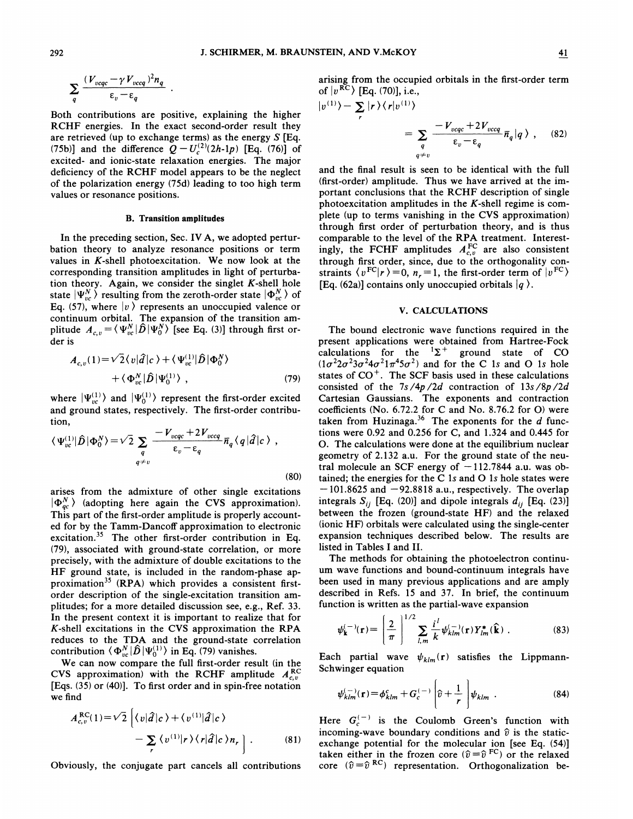$|v|$ 

$$
\sum_{q} \frac{(V_{v c q c} - \gamma V_{v c c q})^2 n_q}{\epsilon_v - \epsilon_q}
$$

Both contributions are positive, explaining the higher RCHF energies. In the exact second-order result they are retrieved (up to exchange terms) as the energy  $S$  [Eq. are retrieved (up to exchange terms) as the energy 5 [Eq. (75b)] and the difference  $Q - U_c^{(2)}(2h-1p)$  [Eq. (76)] of excited- and ionic-state relaxation energies. The major deficiency of the RCHF model appears to be the neglect of the polarization energy (75d) leading to too high term values or resonance positions.

#### B. Transition amplitudes

In the preceding section, Sec. IV A, we adopted perturbation theory to analyze resonance positions or term values in  $K$ -shell photoexcitation. We now look at the corresponding transition amplitudes in light of perturbation theory. Again, we consider the singlet  $K$ -shell hole state  $|\Psi_{vc}^{N}\rangle$  resulting from the zeroth-order state  $|\Phi_{vc}^{N}\rangle$  of Eq. (57), where  $|v\rangle$  represents an unoccupied valence or continuum orbital. The expansion of the transition am-<br>plitude  $A_{c,v} = \langle \Psi_{vc}^N | \hat{D} | \Psi_0^N \rangle$  [see Eq. (3)] through first order is

$$
A_{c,v}(1) = \sqrt{2} \langle v | \hat{d} | c \rangle + \langle \Psi_{vc}^{(1)} | \hat{D} | \Phi_0^N \rangle
$$
  
+ \langle \Phi\_{vc}^N | \hat{D} | \Psi\_0^{(1)} \rangle , \qquad (79)

where  $|\Psi_{vc}^{(1)}\rangle$  and  $|\Psi_{0}^{(1)}\rangle$  represent the first-order excited and ground states, respectively. The first-order contribution,

$$
\langle \Psi_{\nu c}^{(1)} | \hat{D} | \Phi_0^N \rangle = \sqrt{2} \sum_{q} \frac{-V_{\nu cqc} + 2V_{\nu ccq}}{\varepsilon_{\nu} - \varepsilon_{q}} \overline{n}_q \langle q | \hat{d} | c \rangle ,
$$
\n(80)

arises from the admixture of other single excitations  $|\Phi_{ac}^N\rangle$  (adopting here again the CVS approximation). This part of the first-order amplitude is properly accounted for by the Tamm-Dancoff approximation to electronic excitation.<sup>35</sup> The other first-order contribution in Eq. (79), associated with ground-state correlation, or more precisely, with the admixture of double excitations to the HF ground state, is included in the random-phase approximation<sup>35</sup> (RPA) which provides a consistent firstorder description of the single-excitation transition amplitudes; for a more detailed discussion see, e.g., Ref. 33. In the present context it is important to realize that for  $K$ -shell excitations in the CVS approximation the RPA reduces to the TDA and the ground-state correlatio contribution  $\langle \Phi_{\nu c}^N | \hat{D} | \Psi_0^{(1)} \rangle$  in Eq. (79) vanishes.

We can now compare the full first-order result (in the CVS approximation) with the RCHF amplitude  $A_{c,v}^{\text{RC}}$ [Eqs. (35) or (40)]. To first order and in spin-free notation we find

$$
A_{c,v}^{\text{RC}}(1) = \sqrt{2} \left\{ \langle v | \hat{d} | c \rangle + \langle v^{(1)} | \hat{d} | c \rangle \right.-\sum_{r} \langle v^{(1)} | r \rangle \langle r | \hat{d} | c \rangle n_r \right\}.
$$
 (81)

Obviously, the conjugate part cancels all contributions

arising from the occupied orbitals in the first-order term of  $|v^{RC}\rangle$  [Eq. (70)], i.e.,

$$
\langle 1 \rangle - \sum_{r} |r\rangle \langle r|v^{(1)} \rangle
$$
  
= 
$$
\sum_{q} \frac{-V_{v c q c} + 2V_{v c c q}}{\varepsilon_{v} - \varepsilon_{q}} \overline{n}_{q} |q\rangle , \quad (82)
$$

and the final result is seen to be identical with the full (first-order) amplitude. Thus we have arrived at the important conclusions that the RCHF description of single photoexcitation amplitudes in the  $K$ -shell regime is complete (up to terms vanishing in the CVS approximation} through first order of perturbation theory, and is thus comparable to the level of the RPA treatment. Interest<br>ingly, the FCHF amplitudes  $A_{c,v}^{FC}$  are also consistent through first order, since, due to the orthogonality constraints  $\langle v^{\text{FC}} | r \rangle = 0$ ,  $n_r = 1$ , the first-order term of  $| v^{\text{FC}} \rangle$ [Eq. (62a)] contains only unoccupied orbitals  $|q\rangle$ .

#### V. CALCULATIONS

The bound electronic wave functions required in the present applications were obtained from Hartree-Fock calculations for the  ${}^{1}\Sigma^{+}$  ground state of CO  $(1\sigma^2 2\sigma^2 3\sigma^2 4\sigma^2 1\pi^4 5\sigma^2)$  and for the C 1s and O 1s hole states of  $CO<sup>+</sup>$ . The SCF basis used in these calculations consisted of the  $7s/4p/2d$  contraction of  $13s/8p/2d$ Cartesian Gaussians. The exponents and contraction coefficients (No. 6.72.2 for C and No. 8.76.2 for 0) were taken from Huzinaga.<sup>36</sup> The exponents for the  $d$  functions were 0.92 and 0.256 for C, and 1.324 and 0.445 for 0. The calculations were done at the equilibrium nuclear geometry of 2.132 a.u. For the ground state of the neutral molecule an SCF energy of  $-112.7844$  a.u. was obtained; the energies for the C 1s and O 1s hole states were  $-101.8625$  and  $-92.8818$  a.u., respectively. The overlap integrals  $S_{ij}$  [Eq. (20)] and dipole integrals  $d_{ij}$  [Eq. (23)] between the frozen (ground-state HF) and the relaxed (ionic HF) orbitals were calculated using the single-center expansion techniques described below. The results are listed in Tables I and II.

The methods for obtaining the photoelectron continuum wave functions and bound-continuum integrals have been used in many previous applications and are amply described in Refs. 15 and 37. In brief, the continuum function is written as the partial-wave expansion

$$
\psi_{\mathbf{k}}^{(-)}(\mathbf{r}) = \left(\frac{2}{\pi}\right)^{1/2} \sum_{l,m} \frac{i^l}{k} \psi_{klm}^{(-)}(\mathbf{r}) Y_{lm}^*(\hat{\mathbf{k}}) . \tag{83}
$$

Each partial wave  $\psi_{klm}(\mathbf{r})$  satisfies the Lippmann-Schwinger equation

$$
\psi_{klm}^{(-)}(\mathbf{r}) = \phi_{klm}^c + G_c^{(-)} \left[ \hat{v} + \frac{1}{r} \right] \psi_{klm} \tag{84}
$$

Here  $G_c^{(-)}$  is the Coulomb Green's function with incoming-wave boundary conditions and  $\hat{v}$  is the staticexchange potential for the molecular ion [see Eq. (54)] taken either in the frozen core ( $\hat{v} = \hat{v}^{FC}$ ) or the relaxed taken either in the frozen core  $(\hat{v} = \hat{v}^{\text{FC}})$  or the relaxed core  $(\hat{v} = \hat{v}^{\text{RC}})$  representation. Orthogonalization be-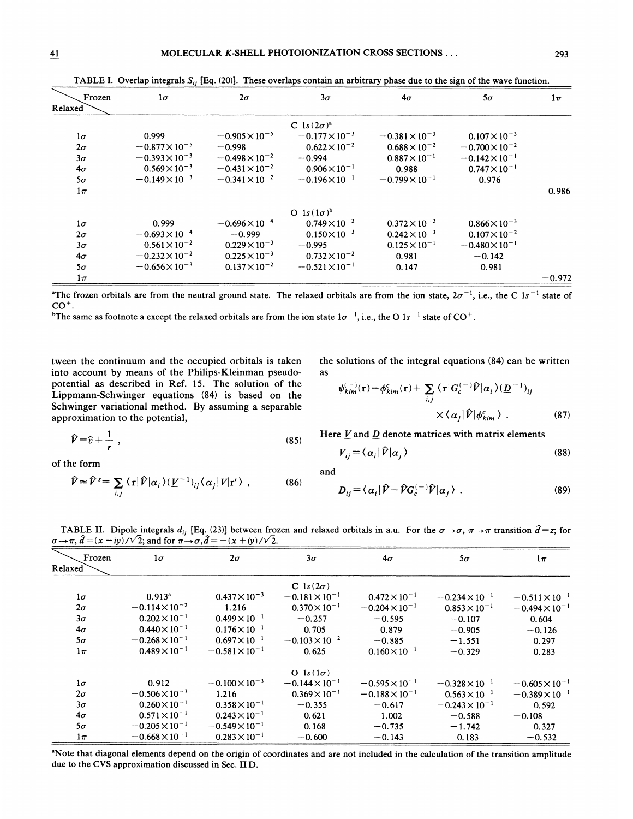| Frozen<br>Relaxed | $1\sigma$               | $2\sigma$               | $3\sigma$               | $4\sigma$               | $5\sigma$               | $1\pi$   |
|-------------------|-------------------------|-------------------------|-------------------------|-------------------------|-------------------------|----------|
|                   |                         |                         | C $1s(2\sigma)^a$       |                         |                         |          |
| $1\sigma$         | 0.999                   | $-0.905 \times 10^{-5}$ | $-0.177 \times 10^{-3}$ | $-0.381\times10^{-3}$   | $0.107 \times 10^{-3}$  |          |
| $2\sigma$         | $-0.877\times10^{-5}$   | $-0.998$                | $0.622 \times 10^{-2}$  | $0.688\times10^{-2}$    | $-0.700\times10^{-2}$   |          |
| $3\sigma$         | $-0.393 \times 10^{-3}$ | $-0.498 \times 10^{-2}$ | $-0.994$                | $0.887 \times 10^{-1}$  | $-0.142 \times 10^{-1}$ |          |
| $4\sigma$         | $0.569 \times 10^{-3}$  | $-0.431 \times 10^{-2}$ | $0.906 \times 10^{-1}$  | 0.988                   | $0.747 \times 10^{-1}$  |          |
| $5\sigma$         | $-0.149\times10^{-3}$   | $-0.341 \times 10^{-2}$ | $-0.196 \times 10^{-1}$ | $-0.799 \times 10^{-1}$ | 0.976                   |          |
| $1\pi$            |                         |                         |                         |                         |                         | 0.986    |
|                   |                         |                         | O $1s(1\sigma)^b$       |                         |                         |          |
| $1\sigma$         | 0.999                   | $-0.696 \times 10^{-4}$ | $0.749 \times 10^{-2}$  | $0.372 \times 10^{-2}$  | $0.866 \times 10^{-3}$  |          |
| $2\sigma$         | $-0.693 \times 10^{-4}$ | $-0.999$                | $0.150 \times 10^{-3}$  | $0.242 \times 10^{-3}$  | $0.107\times10^{-2}$    |          |
| $3\sigma$         | $0.561 \times 10^{-2}$  | $0.229 \times 10^{-3}$  | $-0.995$                | $0.125 \times 10^{-1}$  | $-0.480\times10^{-1}$   |          |
| 4 $\sigma$        | $-0.232\times10^{-2}$   | $0.225 \times 10^{-3}$  | $0.732 \times 10^{-2}$  | 0.981                   | $-0.142$                |          |
| $5\sigma$         | $-0.656 \times 10^{-3}$ | $0.137 \times 10^{-2}$  | $-0.521 \times 10^{-1}$ | 0.147                   | 0.981                   |          |
| $1\pi$            |                         |                         |                         |                         |                         | $-0.972$ |

TABLE I. Overlap integrals  $S_{ii}$  [Eq. (20)]. These overlaps contain an arbitrary phase due to the sign of the wave function.

<sup>a</sup>The frozen orbitals are from the neutral ground state. The relaxed orbitals are from the ion state,  $2\sigma^{-1}$ , i.e., the C 1s<sup>-1</sup> state of  $CO<sup>+</sup>$ .

The same as footnote a except the relaxed orbitals are from the ion state  $1\sigma^{-1}$ , i.e., the O 1s<sup>-1</sup> state of CO<sup>+</sup>.

tween the continuum and the occupied orbitals is taken into account by means of the Philips-Kleinman pseudopotential as described in Ref. 15. The solution of the Lippmann-Schwinger equations (84) is based on the Schwinger variational method. By assuming a separable approximation to the potential,  $\frac{d}{dx}$  and  $\frac{d}{dx}$  and  $\frac{d}{dx}$   $\frac{d}{dx}$  (87)  $\frac{d}{dx}$  (87)

 $\hat{V} \cong \hat{V}^s = \sum_{i,j} \langle \mathbf{r} | \hat{V} | \alpha_i \rangle (\underline{V}^{-1})_{ij} \langle \alpha_j | V | \mathbf{r}' \rangle$ ,

 $\hat{v} = \hat{v} + \frac{1}{n}$ , T

of the form

the solutions of the integral equations 
$$
(84)
$$
 can be written as

$$
\psi_{klm}^{(-)}(\mathbf{r}) = \phi_{klm}^c(\mathbf{r}) + \sum_{i,j} \langle \mathbf{r} | G_c^{(-)} \hat{\mathcal{V}} | \alpha_i \rangle (\underline{D}^{-1})_{ij}
$$
  
 
$$
\times \langle \alpha_j | \hat{\mathcal{V}} | \phi_{klm}^c \rangle . \tag{87}
$$

Here  $\underline{V}$  and  $\underline{D}$  denote matrices with matrix elements

$$
V_{ij} = \langle \alpha_i | \hat{V} | \alpha_j \rangle \tag{88}
$$

and

$$
D_{ij} = \langle \alpha_i | \hat{V} - \hat{V} G_c^{(-)} \hat{V} | \alpha_j \rangle \tag{89}
$$

TABLE II. Dipole integrals  $d_{ij}$  [Eq. (23)] between frozen and relaxed orbitals in a.u. For the  $\sigma \rightarrow \sigma$ ,  $\pi \rightarrow \pi$  transition  $\hat{d} = z$ ; for  $\sigma \rightarrow \pi$ ,  $\hat{d} = (x - iy)/\sqrt{2}$ ; and for  $\pi \rightarrow \sigma$ ,  $\hat{d} = -(x + iy)/\sqrt{2}$ .

(86)

 $(85)$ 

| Frozen<br>Relaxed | $1\sigma$               | $2\sigma$               | $3\sigma$               | $4\sigma$               | $5\sigma$               | $1\pi$                  |
|-------------------|-------------------------|-------------------------|-------------------------|-------------------------|-------------------------|-------------------------|
|                   |                         |                         | C $1s(2\sigma)$         |                         |                         |                         |
| $1\sigma$         | 0.913 <sup>a</sup>      | $0.437 \times 10^{-3}$  | $-0.181 \times 10^{-1}$ | $0.472 \times 10^{-1}$  | $-0.234 \times 10^{-1}$ | $-0.511 \times 10^{-1}$ |
| $2\sigma$         | $-0.114 \times 10^{-2}$ | 1.216                   | $0.370 \times 10^{-1}$  | $-0.204 \times 10^{-1}$ | $0.853 \times 10^{-1}$  | $-0.494 \times 10^{-1}$ |
| $3\sigma$         | $0.202 \times 10^{-1}$  | $0.499 \times 10^{-1}$  | $-0.257$                | $-0.595$                | $-0.107$                | 0.604                   |
| $4\sigma$         | $0.440 \times 10^{-1}$  | $0.176 \times 10^{-1}$  | 0.705                   | 0.879                   | $-0.905$                | $-0.126$                |
| $5\sigma$         | $-0.268 \times 10^{-1}$ | $0.697 \times 10^{-1}$  | $-0.103 \times 10^{-2}$ | $-0.885$                | $-1.551$                | 0.297                   |
| $1\pi$            | $0.489 \times 10^{-1}$  | $-0.581 \times 10^{-1}$ | 0.625                   | $0.160 \times 10^{-1}$  | $-0.329$                | 0.283                   |
|                   |                         |                         | O $1s(1\sigma)$         |                         |                         |                         |
| $1\sigma$         | 0.912                   | $-0.100\times10^{-3}$   | $-0.144 \times 10^{-1}$ | $-0.595 \times 10^{-1}$ | $-0.328 \times 10^{-1}$ | $-0.605 \times 10^{-1}$ |
| $2\sigma$         | $-0.506 \times 10^{-3}$ | 1.216                   | $0.369 \times 10^{-1}$  | $-0.188 \times 10^{-1}$ | $0.563 \times 10^{-1}$  | $-0.389 \times 10^{-1}$ |
| $3\sigma$         | $0.260 \times 10^{-1}$  | $0.358 \times 10^{-1}$  | $-0.355$                | $-0.617$                | $-0.243 \times 10^{-1}$ | 0.592                   |
| $4\sigma$         | $0.571 \times 10^{-1}$  | $0.243 \times 10^{-1}$  | 0.621                   | 1.002                   | $-0.588$                | $-0.108$                |
| $5\sigma$         | $-0.205 \times 10^{-1}$ | $-0.549\times10^{-1}$   | 0.168                   | $-0.735$                | $-1.742$                | 0.327                   |
| $1\pi$            | $-0.668 \times 10^{-1}$ | $0.283 \times 10^{-1}$  | $-0.600$                | $-0.143$                | 0.183                   | $-0.532$                |

'Note that diagonal elements depend on the origin of coordinates and are not included in the calculation of the transition amplitude due to the CVS approximation discussed in Sec. II D.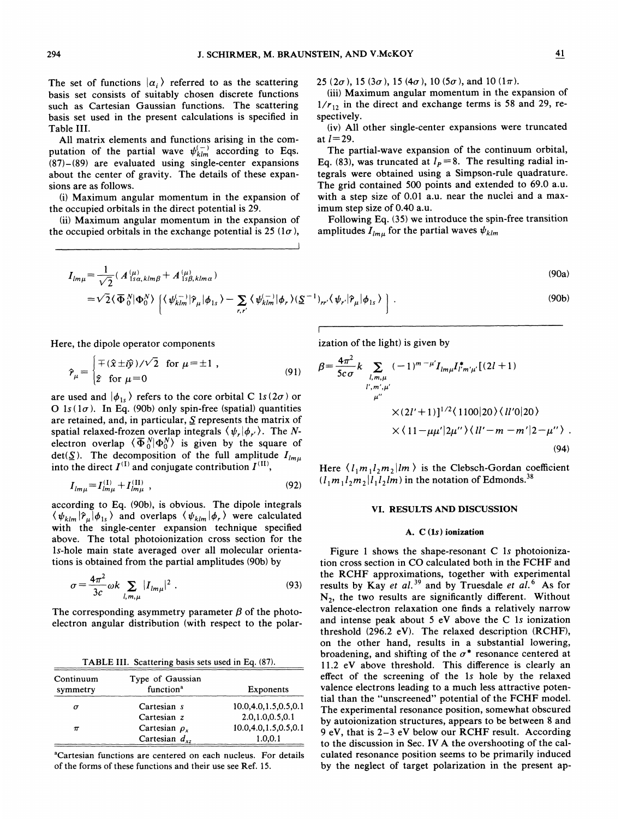The set of functions  $|\alpha_i\rangle$  referred to as the scattering basis set consists of suitably chosen discrete functions such as Cartesian Gaussian functions. The scattering basis set used in the present calculations is specified in Table III.

All matrix elements and functions arising in the computation of the partial wave  $\psi_{klm}^{(-)}$  according to Eqs. (87)—(89) are evaluated using single-center expansions about the center of gravity. The details of these expansions are as follows.

(i) Maximum angular momentum in the expansion of the occupied orbitals in the direct potential is 29.

(ii) Maximum angular momentum in the expansion of the occupied orbitals in the exchange potential is 25 ( $1\sigma$ ),

 $25 (2\sigma)$ , 15 (3 $\sigma$ ), 15 (4 $\sigma$ ), 10 (5 $\sigma$ ), and 10 (1 $\pi$ ).

(iii) Maximum angular momentum in the expansion of  $1/r_{12}$  in the direct and exchange terms is 58 and 29, respectively.

(iv) All other single-center expansions were truncated at  $l=29$ .

The partial-wave expansion of the continuum orbital, Eq. (83), was truncated at  $l_p = 8$ . The resulting radial integrals were obtained using a Simpson-rule quadrature. The grid contained 500 points and extended to 69.0 a.u. with a step size of 0.01 a.u. near the nuclei and a maximum step size of 0.40 a.u.

Following Eq. (35) we introduce the spin-free transition amplitudes  $I_{lmu}$  for the partial waves  $\psi_{klm}$ 

$$
I_{lm\mu} = \frac{1}{\sqrt{2}} (A^{(\mu)}_{1sa,klm\beta} + A^{(\mu)}_{1s\beta,klm\alpha})
$$
\n
$$
= \sqrt{2} \langle \overline{\Phi}^{N}_{0} | \Phi^{N}_{0} \rangle \left[ \langle \psi^{(-)}_{klm} | \hat{\mathcal{P}}_{\mu} | \phi_{1s} \rangle - \sum_{r,r'} \langle \psi^{(-)}_{klm} | \phi_{r} \rangle (\underline{S}^{-1})_{rr'} \langle \psi_{r'} | \hat{\mathcal{P}}_{\mu} | \phi_{1s} \rangle \right].
$$
\n(90b)

I

Here, the dipole operator components

$$
\hat{\mathcal{P}}_{\mu} = \begin{cases} \mp (\hat{x} \pm i\hat{y})/\sqrt{2} & \text{for } \mu = \pm 1, \\ \hat{z} & \text{for } \mu = 0 \end{cases}
$$
 (91)

are used and  $|\phi_{1s}\rangle$  refers to the core orbital C 1s (2 $\sigma$ ) or O  $1s(1\sigma)$ . In Eq. (90b) only spin-free (spatial) quantities are retained, and, in particular,  $S$  represents the matrix of spatial relaxed-frozen overlap integrals  $\langle \psi_r | \phi_{r'} \rangle$ . The Nelectron overlap  $\langle \overline{\Phi}_{0}^{N} | \Phi_{0}^{N} \rangle$  is given by the square of det( $\Sigma$ ). The decomposition of the full amplitude  $I_{lmu}$ into the direct  $I^{(I)}$  and conjugate contribution  $I^{(II)}$ ,

$$
I_{lm\mu} = I_{lm\mu}^{(1)} + I_{lm\mu}^{(II)} \tag{92}
$$

according to Eq. (90b), is obvious. The dipole integrals  $\langle \psi_{klm} | \hat{r}_{\mu} | \phi_{ls} \rangle$  and overlaps  $\langle \psi_{klm} | \phi_{r} \rangle$  were calculated with the single-center expansion technique specified above. The total photoionization cross section for the 1s-hole main state averaged over all molecular orientations is obtained from the partial amplitudes (90b) by

$$
\sigma = \frac{4\pi^2}{3c} \omega k \sum_{l,m,\mu} |I_{lm\mu}|^2 \ . \tag{93}
$$

The corresponding asymmetry parameter  $\beta$  of the photoelectron angular distribution (with respect to the polar-

TABLE III. Scattering basis sets used in Eq. (87).

| Continuum<br>symmetry | Type of Gaussian<br>function <sup>a</sup> | <b>Exponents</b>     |  |  |
|-----------------------|-------------------------------------------|----------------------|--|--|
| $\sigma$              | Cartesian s                               | 10.0.4.0.1.5.0.5.0.1 |  |  |
|                       | Cartesian z                               | 2.0,1.0,0.5,0.1      |  |  |
| $\pi$                 | Cartesian $\rho_{r}$                      | 10.0,4.0,1.5,0.5,0.1 |  |  |
|                       | Cartesian $d_{xz}$                        | 1.0,0.1              |  |  |

'Cartesian functions are centered on each nucleus. For details of the forms of these functions and their use see Ref. 15.

ization of the light) is given by

$$
\beta = \frac{4\pi^2}{5c\sigma} k \sum_{\substack{l,m,\mu \\ l',m',\mu' \\ \mu''}} (-1)^{m-\mu'} I_{lm\mu} I_{l'm'\mu'}^{\ast} [(2l+1)
$$
  

$$
\times (2l'+1)]^{1/2} (1100|20) \langle ll'0|20 \rangle
$$
  

$$
\times (11-\mu\mu'|2\mu'') \langle ll'-m-m'|2-\mu'' \rangle .
$$
  
(94)

Here  $\langle l_1m_1l_2m_2|lm\rangle$  is the Clebsch-Gordan coefficient  $(l_1 m_1 l_2 m_2 | l_1 l_2 | m)$  in the notation of Edmonds.<sup>38</sup>

### VI. RESULTS AND DISCUSSION

#### A.  $C(1s)$  ionization

Figure <sup>1</sup> shows the shape-resonant C ls photoionization cross section in CO calculated both in the FCHF and the RCHF approximations, together with experimental results by Kay et al.<sup>39</sup> and by Truesdale et al.<sup>6</sup> As for  $N_2$ , the two results are significantly different. Without valence-electron relaxation one finds a relatively narrow and intense peak about 5 eV above the C 1s ionization threshold (296.2 eV). The relaxed description (RCHF), on the other hand, results in a substantial lowering, broadening, and shifting of the  $\sigma^*$  resonance centered at 11.2 eV above threshold. This difference is clearly an effect of the screening of the 1s hole by the relaxed valence electrons leading to a much less attractive potential than the "unscreened" potential of the FCHF model. The experimental resonance position, somewhat obscured by autoionization structures, appears to be between 8 and 9 eV, that is 2—3 eV below our RCHF result. According to the discussion in Sec. IV A the overshooting of the calculated resonance position seems to be primarily induced by the neglect of target polarization in the present ap-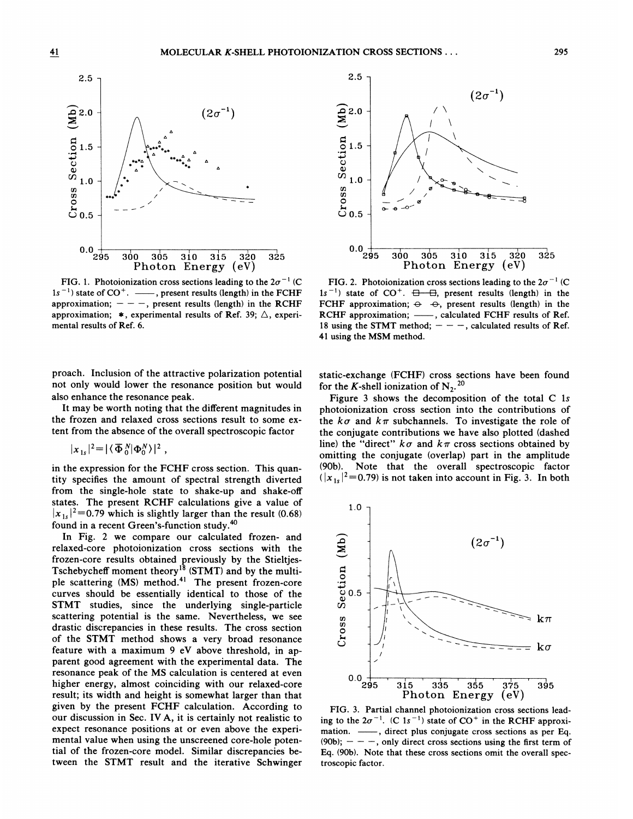

FIG. 1. Photoionization cross sections leading to the  $2\sigma^{-1}$  (C)  $1s^{-1}$ ) state of CO<sup>+</sup>. —, present results (length) in the FCHF approximation;  $- -$ , present results (length) in the RCHF approximation;  $*$ , experimental results of Ref. 39;  $\triangle$ , experimental results of Ref. 6.

roach. Inclusion of the attractive polarization potentia not only would lower the resonance position but would also enhance the resonance peak.

It may be worth noting that the different magnitudes in the frozen and relaxed cross sections result to some extent from the absence of the overall spectroscopic factor

$$
|x_{1s}|^2 = |\langle \overline{\Phi}_0^N | \Phi_0^N \rangle|^2,
$$

in the expression for the FCHF cross section. This quan ty specifies the amount of spectral strength diverte gle-hole state to shake-up and shake-of RCHF calculations give a value of  $|x_{1s}|^2$  = 0.79 which is slightly larger than the result (0.68)

ch is slightly larger than the result (0.68)<br>
1 Green's-function study.<sup>40</sup><br>
2 compare our calculated frozen- and<br>
1 otoionization cross sections with the<br>
1 lts obtained previously by the Stieltjes-In Fig. 2 we compare our calculated frozen- and relaxed-core photoionization cross sections with the Tschebycheff moment theory nod.<sup>41</sup> The present frozen-core<br>
ially identical to those of the STMT studies, since the underlying single-particle scattering potential is the same. Nevertheless, we see drastic discrepancies in these results. Th of the STMT method shows a very broad resonance parent good agreement with the experimental d resonance peak of the MS calculation is centered at ev<br>higher energy, almost coinciding with our relaxed-cc<br>result; its width and height is somewhat larger than th<br>given by the present FCHF calculation. According resonance peak of the MS calculation is centered at ever sent FCHF calculation. According to our discussion in Sec. IV A, it is certainly not realistic to expect resonance positions at or even above the experimental value when using the unscreened core-hole potential of the frozen-core model. Similar discrepancies between the STMT result and the iterative Schwinger



FIG. 2. Photoionization cross sections leading to the  $2\sigma^{-1}$  (C 295 300 305 310 315 320 325<br>
Photon Energy (eV)<br>
FIG. 2. Photoionization cross sections leading to the  $2\sigma^{-1}$  (C<br>
1s<sup>-1</sup>) state of CO<sup>+</sup>.  $\overline{\Theta}$ - $\overline{\Theta}$ , present results (length) in the<br>
FCHF approximation:  $\Theta$ - $\Theta$ FCHF approximation;  $\ominus \ominus$ , present results (length) in the  $^{-1}$ ) state of CO RCHF approximation; - , calculated FCHF results of Ref. Refine approximation,  $\frac{1}{18}$  calculated refine results of Ref.<br>18 using the STMT method;  $- -$ , calculated results of Ref. 41 using the MSM method.

static-exchange (FCHF) cross sections have been found for the K-shell ionization of  $N_2$ .<sup>20</sup>

shows the decomposition o on cross section into the contributions of To investigate the role of ributions we have also plotted (dashed  $k\pi$  cross sections obtained b omitting the conjugate (overlap) part in the amplitude (90b). Note that the overall spectroscopic factor  $(|x_{1s}|^2=0.79)$  is not taken into account in Fig. 3. In both



FIG. 3. Partial channel photoionization cross sections leading to the  $2\sigma^{-1}$ . (C 1s<sup>-1</sup>) state of CO<sup>+</sup> in the RCHF approximation. - , direct plus conjugate cross sections as per Eq. (90b);  $- - -$ , only direct cross sections using the first term of Eq. (90b). Note that these cross sections omit the overall spectroscopic factor.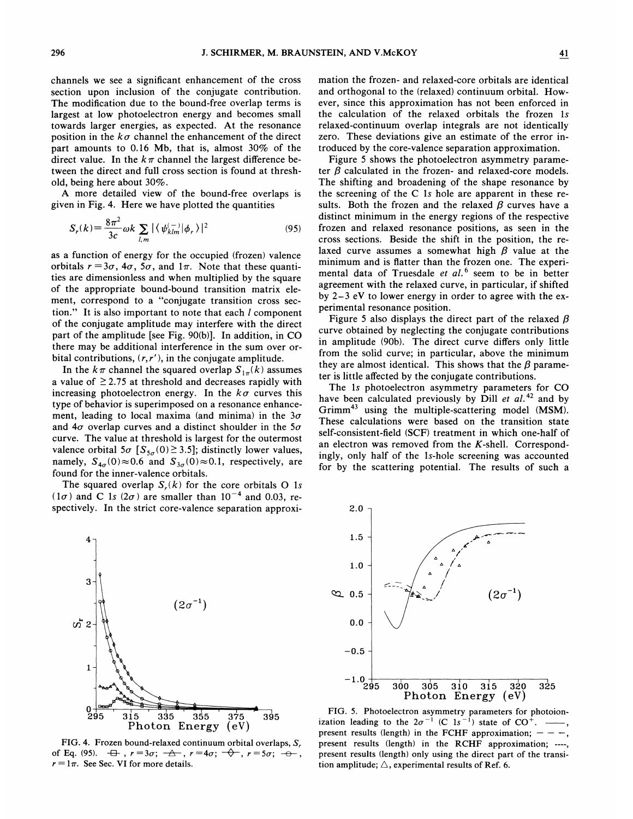channels we see a significant enhancement of the cross section upon inclusion of the conjugate contribution. The modification due to the bound-free overlap terms is largest at low photoelectron energy and becomes small towards larger energies, as expected. At the resonance position in the  $k\sigma$  channel the enhancement of the direct part amounts to 0.16 Mb, that is, almost 30% of the direct value. In the  $k\pi$  channel the largest difference between the direct and full cross section is found at threshold, being here about 30%.

A more detailed view of the bound-free overlaps is given in Fig, 4. Here we have plotted the quantities

$$
S_r(k) = \frac{8\pi^2}{3c} \omega k \sum_{l,m} |\langle \psi_{klm}^{(-)} | \phi_r \rangle|^2
$$
 (95)

as a function of energy for the occupied (frozen) valence orbitals  $r = 3\sigma$ ,  $4\sigma$ ,  $5\sigma$ , and  $1\pi$ . Note that these quantities are dimensionless and when multiplied by the square of the appropriate bound-bound transition matrix element, correspond to a "conjugate transition cross section." It is also important to note that each  $l$  component of the conjugate amplitude may interfere with the direct part of the amplitude [see Fig. 90(b)]. In addition, in CO there may be additional interference in the sum over orbital contributions,  $(r, r')$ , in the conjugate amplitude.

In the  $k\pi$  channel the squared overlap  $S_{1\pi}(k)$  assumes a value of  $\geq$  2.75 at threshold and decreases rapidly with increasing photoelectron energy. In the  $k\sigma$  curves this type of behavior is superimposed on a resonance enhancement, leading to local maxima (and minima) in the  $3\sigma$ and  $4\sigma$  overlap curves and a distinct shoulder in the  $5\sigma$ curve. The value at threshold is largest for the outermost valence orbital  $5\sigma$  [ $S_{5\sigma}(0) \ge 3.5$ ]; distinctly lower values, namely,  $S_{4\sigma}(0) \approx 0.6$  and  $S_{3\sigma}(0) \approx 0.1$ , respectively, are found for the inner-valence orbitals.

The squared overlap  $S_r(k)$  for the core orbitals O 1s  $(1\sigma)$  and C 1s  $(2\sigma)$  are smaller than  $10^{-4}$  and 0.03, respectively. In the strict core-valence separation approxi-



FIG. 4. Frozen bound-relaxed continuum orbital overlaps, S, of Eq. (95).  $\quad \oplus \quad r = 3\sigma; \ \rightarrow \rightarrow \quad r = 4\sigma; \ \rightarrow \rightarrow \quad r = 5\sigma; \ \rightarrow \rightarrow$  $r = 1\pi$ . See Sec. VI for more details.

mation the frozen- and relaxed-core orbitals are identical and orthogonal to the (relaxed) continuum orbital. However, since this approximation has not been enforced in the calculation of the relaxed orbitals the frozen 1s relaxed-continuum overlap integrals are not identically zero. These deviations give an estimate of the error introduced by the core-valence separation approximation.

Figure 5 shows the photoelectron asymmetry parameter  $\beta$  calculated in the frozen- and relaxed-core models. The shifting and broadening of the shape resonance by the screening of the C 1s hole are apparent in these results. Both the frozen and the relaxed  $\beta$  curves have a distinct minimum in the energy regions of the respective frozen and relaxed resonance positions, as seen in the cross sections. Beside the shift in the position, the relaxed curve assumes a somewhat high  $\beta$  value at the minimum and is Hatter than the frozen one. The experimental data of Truesdale et  $al$ .<sup>6</sup> seem to be in better agreement with the relaxed curve, in particular, if shifted by 2—<sup>3</sup> eV to lower energy in order to agree with the experimental resonance position.

Figure 5 also displays the direct part of the relaxed  $\beta$ curve obtained by neglecting the conjugate contributions in amplitude (90b}. The direct curve differs only little from the solid curve; in particular, above the minimum they are almost identical. This shows that the  $\beta$  parameter is little affected by the conjugate contributions.

The 1s photoelectron asymmetry parameters for CO have been calculated previously by Dill et  $al$ .<sup>42</sup> and by  $Grimm<sup>43</sup>$  using the multiple-scattering model (MSM). These calculations were based on the transition state self-consistent-field (SCF) treatment in which one-half of an electron was removed from the K-shell. Correspondingly, only half of the 1s-hole screening was accounted for by the scattering potential. The results of such a



FIG. 5. Photoelectron asymmetry parameters for photoion ization leading to the  $2\sigma^{-1}$  (C  $1s^{-1}$ ) state of CO<sup>+</sup>. present results (length) in the FCHF approximation;  $-$  present results (length) in the RCHF approximation; present results (length) only using the direct part of the transition amplitude;  $\triangle$ , experimental results of Ref. 6.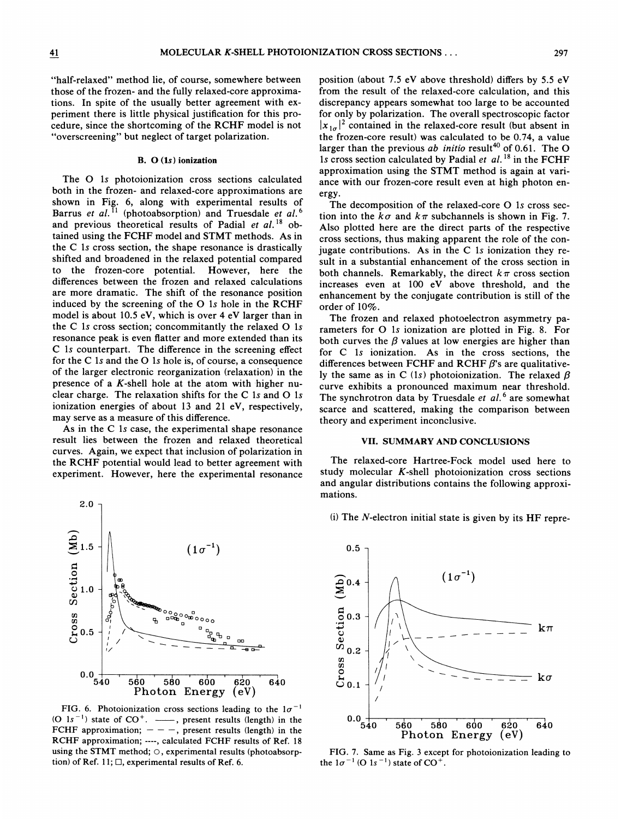#### B. 0 (1s) ionization

"overscreening" but neglect of target polarization.

The 0 1s photoionization cross sections calculated both in the frozen- and relaxed-core approximations are shown in Fig. 6, along with experimental results of shown in Fig. 6, along with experimental results of Barrus et al.<sup>11</sup> (photoabsorption) and Truesdale et al. and previous theoretical results of Padial et  $al.$ <sup>18</sup> obtained using the FCHF model and STMT methods. As in the C 1s cross section, the shape resonance is drastically shifted and broadened in the relaxed potential compared to the frozen-care potential. However, here the differences between the frozen and relaxed calculations are more dramatic. The shift of the resonance position induced by the screening of the 0 1s hole in the RCHF model is about 10.5 eV, which is over 4 eV larger than in the C 1s cross section; concommitantly the relaxed  $O$  1s resonance peak is even flatter and more extended than its C 1s counterpart. The difference in the screening effect for the <sup>C</sup> 1s and the 0 1s hole is, of course, <sup>a</sup> consequence of the larger electronic reorganization (relaxation) in the presence of a  $K$ -shell hole at the atom with higher nuclear charge. The relaxation shifts for the C 1s and O 1s ionization energies of about 13 and 21 eV, respectively, may serve as a measure of this difference.

As in the C 1s case, the experimental shape resonance result lies between the frozen and relaxed theoretical curves. Again, we expect that inclusion of polarization in the RCHF potential would lead to better agreement with experiment. However, here the experimental resonance



FIG. 6. Photoionization cross sections leading to the  $1\sigma^{-1}$ (O  $1s^{-1}$ ) state of  $CO^+$ .  $\longrightarrow$ , present results (length) in the FCHF approximation;  $- - -$ , present results (length) in the RCHF approximation; ----, calculated FCHF results of Ref. 18 using the STMT method;  $\circ$ , experimental results (photoabsorption) of Ref. 11;  $\square$ , experimental results of Ref. 6.

position (about 7.5 eV above threshold) differs by 5.5 eV from the result of the relaxed-core calculation, and this discrepancy appears somewhat too large to be accounted for only by polarization. The overall spectroscopic factor  $|x_{1\sigma}|^2$  contained in the relaxed-core result (but absent in the frozen-core result) was calculated to be 0.74, a value larger than the previous  $ab$  initio result  $40$  of 0.61. The O 1s cross section calculated by Padial et  $al$ .<sup>18</sup> in the FCHF approximation using the STMT method is again at variance with our frozen-core result even at high photon energy.

The decomposition of the relaxed-core O 1s cross section into the  $k\sigma$  and  $k\pi$  subchannels is shown in Fig. 7. Also plotted here are the direct parts of the respective cross sections, thus making apparent the role of the conjugate contributions. As in the C 1s ionization they result in a substantial enhancement of the cross section in both channels. Remarkably, the direct  $k\pi$  cross section increases even at 100 eV above threshold, and the enhancement by the conjugate contribution is still of the order of 10%.

The frozen and relaxed photoelectron asymmetry parameters for 0 1s ionization are plotted in Fig. 8. For both curves the  $\beta$  values at low energies are higher than for C 1s ionization. As in the cross sections, the differences between FCHF and RCHF  $\beta$ 's are qualitatively the same as in C (1s) photoionization. The relaxed  $\beta$ curve exhibits a pronounced maximum near threshold. The synchrotron data by Truesdale et  $al.^6$  are somewhat scarce and scattered, making the comparison between theory and experiment inconclusive.

### VII. SUMMARY AND CONCLUSIONS

The relaxed-core Hartree-Fock model used here to study molecular  $K$ -shell photoionization cross sections and angular distributions contains the following approximations.

(i) The  $N$ -electron initial state is given by its HF repre-



FIG. 7. Same as Fig. 3 except for photoionization leading to the  $1\sigma^{-1}$  (O  $1s^{-1}$ ) state of CO<sup>+</sup>.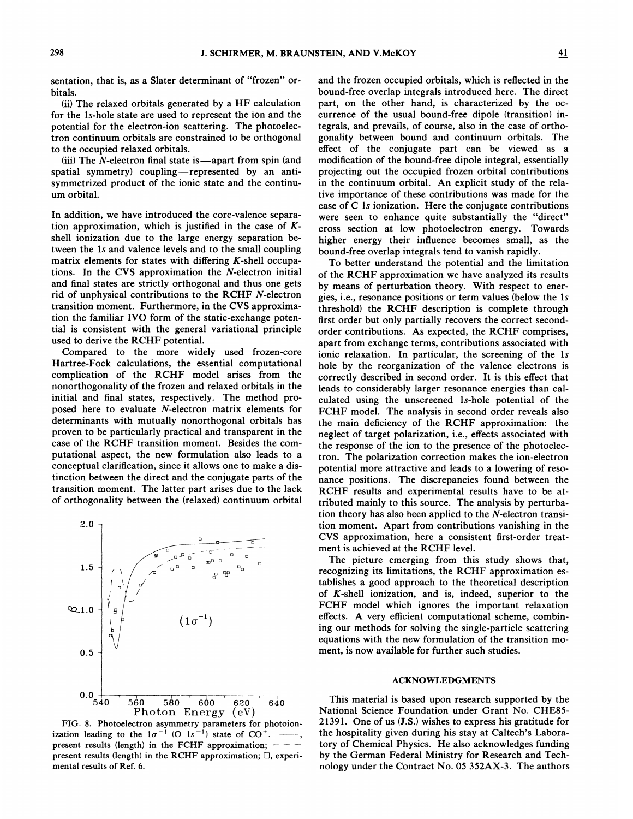sentation, that is, as a Slater determinant of "frozen" orbitals.

(ii) The relaxed orbitals generated by a HF calculation for the 1s-hole state are used to represent the ion and the potential for the electron-ion scattering. The photoelectron continuum orbitals are constrained to be orthogonal to the occupied relaxed orbitals.

(iii) The  $N$ -electron final state is—apart from spin (and spatial symmetry) coupling—represented by an antisymmetrized product of the ionic state and the continuum orbital.

In addition, we have introduced the core-valence separation approximation, which is justified in the case of  $K$ shell ionization due to the large energy separation between the 1s and valence levels and to the small coupling matrix elements for states with differing  $K$ -shell occupations. In the CVS approximation the N-electron initial and final states are strictly orthogonal and thus one gets rid of unphysical contributions to the RCHF N-electron transition moment. Furthermore, in the CVS approximation the familiar IVO form of the static-exchange potential is consistent with the general variational principle used to derive the RCHF potential.

Compared to the more widely used frozen-core Hartree-Fock calculations, the essential computational complication of the RCHF model arises from the nonorthogonality of the frozen and relaxed orbitals in the initial and final states, respectively. The method proposed here to evaluate  $N$ -electron matrix elements for determinants with mutually nonorthogonal orbitals has proven to be particularly practical and transparent in the case of the RCHF transition moment. Besides the computational aspect, the new formulation also leads to a conceptual clarification, since it allows one to make a distinction between the direct and the conjugate parts of the transition moment. The latter part arises due to the lack of orthogonality between the (relaxed) continuum orbital



FIG. 8. Photoelectron asymmetry parameters for photoionization leading to the  $1\sigma^{-1}$  (O  $1s^{-1}$ ) state of CO<sup>+</sup>. present results (length) in the FCHF approximation;  $-$  present results (length) in the RCHF approximation;  $\Box$ , experimental results of Ref. 6.

and the frozen occupied orbitals, which is reflected in the bound-free overlap integrals introduced here. The direct part, on the other hand, is characterized by the occurrence of the usual bound-free dipole (transition) integrals, and prevails, of course, also in the case of orthogonality between bound and continuum orbitals. The effect of the conjugate part can be viewed as a modification of the bound-free dipole integral, essentially projecting out the occupied frozen orbital contributions in the continuum orbital. An explicit study of the relative importance of these contributions was made for the case of C 1s ionization. Here the conjugate contributions were seen to enhance quite substantially the "direct" cross section at low photoelectron energy. Towards higher energy their influence becomes small, as the bound-free overlap integrals tend to vanish rapidly.

To better understand the potential and the limitation of the RCHF approximation we have analyzed its results by means of perturbation theory. With respect to energies, i.e., resonance positions or term values (below the ls threshold) the RCHF description is complete through first order but only partially recovers the correct secondorder contributions. As expected, the RCHF comprises, apart from exchange terms, contributions associated with ionic relaxation. In particular, the screening of the 1s hole by the reorganization of the valence electrons is correctly described in second order. It is this efFect that leads to considerably larger resonance energies than calculated using the unscreened ls-hole potential of the FCHF model. The analysis in second order reveals also the main deficiency of the RCHF approximation: the neglect of target polarization, i.e., effects associated with the response of the ion to the presence of the photoelectron. The polarization correction makes the ion-electron potential more attractive and leads to a lowering of resonance positions. The discrepancies found between the RCHF results and experimental results have to be attributed mainly to this source. The analysis by perturbation theory has also been applied to the  $N$ -electron transition moment. Apart from contributions vanishing in the CVS approximation, here a consistent first-order treatment is achieved at the RCHF level.

The picture emerging from this study shows that, recognizing its limitations, the RCHF approximation establishes a good approach to the theoretical description of K-shell ionization, and is, indeed, superior to the FCHF model which ignores the important relaxation effects. A very efficient computational scheme, combining our methods for solving the single-particle scattering equations with the new formulation of the transition moment, is now available for further such studies.

#### ACKNQWLEDGMENTS

This material is based upon research supported by the National Science Foundation under Grant No. CHE85- 21391. One of us (J.S.) wishes to express his gratitude for the hospitality given during his stay at Caltech's Laboratory of Chemical Physics. He also acknowledges funding by the German Federal Ministry for Research and Technology under the Contract No. 05 352AX-3. The authors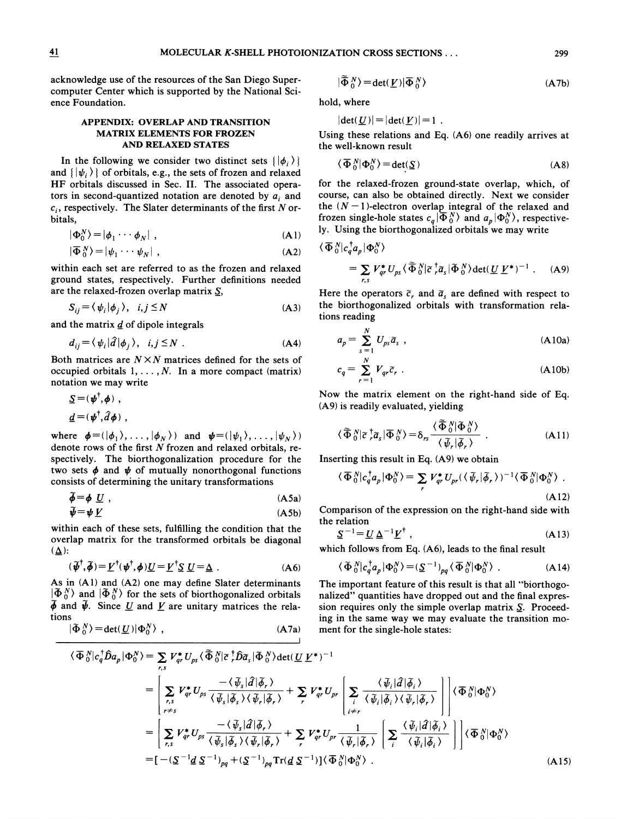acknowledge use of the resources of the San Diego Supercomputer Center which is supported by the National Science Foundation.

# APPENDIX: OVERLAP AND TRANSITION MATRIX ELEMENTS FOR FROZEN AND RELAXED STATES

In the following we consider two distinct sets  $\{|\phi_i\rangle\}$ and  $\{|\psi_i\rangle\}$  of orbitals, e.g., the sets of frozen and relaxed HF orbitals discussed in Sec. II. The associated operators in second-quantized notation are denoted by  $a_i$  and  $c_i$ , respectively. The Slater determinants of the first N orbitals,

$$
|\Phi_0^N\rangle = |\phi_1 \cdots \phi_N| \tag{A1}
$$

$$
|\overline{\Phi}_0^N\rangle = |\psi_1 \cdots \psi_N| \tag{A2}
$$

within each set are referred to as the frozen and relaxed ground states, respectively. Further definitions needed are the relaxed-frozen overlap matrix  $S$ ,

$$
S_{ij} = \langle \psi_i | \phi_j \rangle, \quad i, j \le N \tag{A3}
$$

and the matrix  $\boldsymbol{d}$  of dipole integrals

$$
d_{ij} = \langle \psi_i | \hat{d} | \phi_j \rangle, \quad i, j \le N \quad . \tag{A4}
$$

Both matrices are  $N \times N$  matrices defined for the sets of occupied orbitals  $1, \ldots, N$ . In a more compact (matrix) notation we may write

$$
\Sigma = (\boldsymbol{\psi}^{\dagger}, \boldsymbol{\phi}) ,
$$
  

$$
\underline{d} = (\boldsymbol{\psi}^{\dagger}, \hat{d} \boldsymbol{\phi}) ,
$$

where  $\phi = (\vert \phi_1 \rangle, \ldots, \vert \phi_N \rangle)$  and  $\psi = (\vert \psi_1 \rangle, \ldots, \vert \psi_N \rangle)$ denote rows of the first N frozen and relaxed orbitals, respectively. The biorthogonalization procedure for the two sets  $\phi$  and  $\psi$  of mutually nonorthogonal functions consists of determining the unitary transformations

$$
\widetilde{\phi} = \phi \underline{U} \ , \qquad (A5a)
$$

$$
\widetilde{\boldsymbol{\psi}} = \boldsymbol{\psi} \, \underline{V} \tag{A5b}
$$

within each of these sets, fulfilling the condition that the overlap matrix for the transformed orbitals be diagonal  $(\underline{\Delta})$ :

$$
(\widetilde{\boldsymbol{\psi}}^{\dagger},\widetilde{\boldsymbol{\phi}}) = \underline{V}^{\dagger}(\boldsymbol{\psi}^{\dagger},\boldsymbol{\phi})\underline{U} = \underline{V}^{\dagger}\underline{S} \underline{U} = \underline{\Delta} .
$$
 (A6)

As in (Al) and (A2) one may define Slater determinants  $\langle \tilde{\Phi}_0^N \rangle$  and  $\langle \tilde{\Phi}_0^N \rangle$  for the sets of biorthogonalized orbitals  $\tilde{\phi}$  and  $\tilde{\psi}$ . Since U and V are unitary matrices the relations  $\frac{1}{x}$ 

$$
|\tilde{\Phi}_0^N\rangle = \det(\underline{U})|\Phi_0^N\rangle \t{,} \t(A7a)
$$

$$
|\widetilde{\Phi}_0^N\rangle = \det(\underline{V})|\overline{\Phi}_0^N\rangle
$$
 (A7b)

hold, where

$$
|\det(\underline{U})|=|\det(\underline{V})|=1.
$$

Using these relations and Eq. (A6) one readily arrives at the well-known result

$$
\langle \overline{\Phi}{}_0^N | \Phi_0^N \rangle = \det(\underline{S})
$$
 (A8)

for the relaxed-frozen ground-state overlap, which, of course, can also be obtained directly. Next we consider the  $(N - 1)$ -electron overlap integral of the relaxed and frozen single-hole states  $c_q \ket{\overline{\Phi}_0^N}$  and  $a_p \ket{\Phi_0^N}$ , respectively. Using the biorthogonalized orbitals we may write

$$
\begin{split} \langle \overline{\Phi}{}^N_0 | c_q^\dagger a_p | \Phi_0^N \rangle \\ &= \sum_{r,s} V_{qr}^* U_{ps} \langle \overline{\tilde{\Phi}}{}^N_0 | \overline{\epsilon}{}^{\dagger} a_s | \overline{\Phi}{}^N_0 \rangle \det(\underline{U} \underline{V}^*)^{-1} \ . \end{split} \tag{A9}
$$

Here the operators  $\tilde{c}_r$ , and  $\tilde{a}_s$  are defined with respect to the biorthogonalized orbitals with transformation relations reading

$$
a_p = \sum_{s=1}^{N} U_{ps} \tilde{a}_s , \qquad (A10a)
$$

$$
c_q = \sum_{r=1}^{N} V_{qr} \tilde{c}_r \tag{A10b}
$$

Now the matrix element on the right-hand side of Eq. (A9) is readily evaluated, yielding

$$
\langle \tilde{\Phi}_{0}^{N} | \tilde{\sigma}_{\eta}^{\dagger} \tilde{\sigma}_{\eta} | \tilde{\Phi}_{0}^{N} \rangle = \delta_{rs} \frac{\langle \tilde{\Phi}_{0}^{N} | \tilde{\Phi}_{0}^{N} \rangle}{\langle \tilde{\psi}_{r} | \tilde{\phi}_{r} \rangle} . \tag{A11}
$$

Inserting this result in Eq. (A9) we obtain

$$
\langle \overline{\Phi}^N_0 | c_q^{\dagger} a_p | \Phi_0^N \rangle = \sum_r V_{qr}^* U_{pr} (\langle \widetilde{\psi}_r | \widetilde{\phi}_r \rangle)^{-1} \langle \overline{\Phi}^N_0 | \Phi_0^N \rangle \tag{A12}
$$

Comparison of the expression on the right-hand side with

the relation  
\n
$$
\underline{S}^{-1} = \underline{U} \underline{\Delta}^{-1} \underline{V}^{\dagger} , \qquad (A13)
$$

which follows from Eq. (A6), leads to the final result

$$
\langle \tilde{\Phi}_0^N | c_q^\dagger a_p | \Phi_0^N \rangle = (\underline{S}^{-1})_{pq} \langle \overline{\Phi}_0^N | \Phi_0^N \rangle \tag{A14}
$$

The important feature of this result is that all "biorthogonalized" quantities have dropped out and the final expression requires only the simple overlap matrix S. Proceeding in the same way we may evaluate the transition moment for the single-hole states:

$$
\langle \overline{\Phi}_{0}^{N} | c_{q}^{\dagger} \hat{D} a_{p} | \Phi_{0}^{N} \rangle = \sum_{r,s} V_{qr}^{*} U_{ps} \langle \overline{\Phi}_{0}^{N} | \overline{\sigma}_{r}^{\dagger} \hat{D} \overline{a}_{s} | \overline{\Phi}_{0}^{N} \rangle \det(\underline{U} \underline{V}^{*})^{-1}
$$
\n
$$
= \left[ \sum_{r,s} V_{qr}^{*} U_{ps} \frac{-\langle \overline{\psi}_{s} | \hat{d} | \overline{\phi}_{r} \rangle}{\langle \overline{\psi}_{s} | \overline{\phi}_{s} \rangle \langle \overline{\psi}_{r} | \overline{\phi}_{r} \rangle} + \sum_{r} V_{qr}^{*} U_{pr} \left[ \sum_{i \neq r} \frac{\langle \overline{\psi}_{i} | \hat{d} | \overline{\phi}_{i} \rangle}{\langle \overline{\psi}_{i} | \overline{\phi}_{i} \rangle \langle \overline{\psi}_{r} | \overline{\phi}_{r} \rangle} \right] \right] \langle \overline{\Phi}_{0}^{N} | \Phi_{0}^{N} \rangle
$$
\n
$$
= \left[ \sum_{r,s} V_{qr}^{*} U_{ps} \frac{-\langle \overline{\psi}_{s} | \hat{d} | \overline{\phi}_{r} \rangle}{\langle \overline{\psi}_{s} | \overline{\phi}_{s} \rangle \langle \overline{\psi}_{r} | \overline{\phi}_{r} \rangle} + \sum_{r} V_{qr}^{*} U_{pr} \frac{1}{\langle \overline{\psi}_{r} | \overline{\phi}_{r} \rangle} \left[ \sum_{i} \frac{\langle \overline{\psi}_{i} | \hat{d} | \overline{\phi}_{i} \rangle}{\langle \overline{\psi}_{i} | \overline{\phi}_{i} \rangle} \right] \right] \langle \overline{\Phi}_{0}^{N} | \Phi_{0}^{N} \rangle
$$
\n
$$
= [-(\underline{S}^{-1} \underline{d} \underline{S}^{-1})_{pq} + (\underline{S}^{-1})_{pq} \text{Tr}(\underline{d} \underline{S}^{-1})] \langle \overline{\Phi}_{0}^{N} | \Phi_{0}^{N} \rangle . \tag{A15}
$$